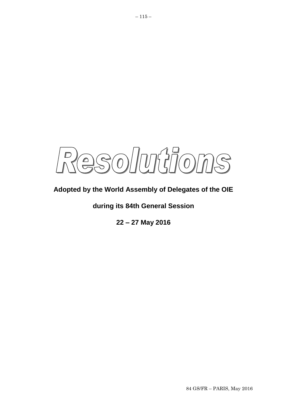solutions  $\begin{pmatrix} 0 \\ 0 \end{pmatrix}$ 

# **Adopted by the World Assembly of Delegates of the OIE**

**during its 84th General Session**

**22 – 27 May 2016**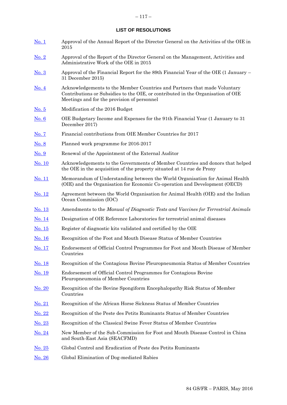# $-117-$

# **LIST OF RESOLUTIONS**

| Approval of the Annual Report of the Director General on the Activities of the OIE in<br>2015                                                                                                                |
|--------------------------------------------------------------------------------------------------------------------------------------------------------------------------------------------------------------|
| Approval of the Report of the Director General on the Management, Activities and<br>Administrative Work of the OIE in 2015                                                                                   |
| Approval of the Financial Report for the 89th Financial Year of the OIE (1 January –<br>31 December 2015)                                                                                                    |
| Acknowledgements to the Member Countries and Partners that made Voluntary<br>Contributions or Subsidies to the OIE, or contributed in the Organisation of OIE<br>Meetings and for the provision of personnel |
| Modification of the 2016 Budget                                                                                                                                                                              |
| OIE Budgetary Income and Expenses for the 91th Financial Year (1 January to 31)<br>December 2017)                                                                                                            |
| Financial contributions from OIE Member Countries for 2017                                                                                                                                                   |
| Planned work programme for 2016-2017                                                                                                                                                                         |
| Renewal of the Appointment of the External Auditor                                                                                                                                                           |
| Acknowledgements to the Governments of Member Countries and donors that helped<br>the OIE in the acquisition of the property situated at 14 rue de Prony                                                     |
| Memorandum of Understanding between the World Organisation for Animal Health<br>(OIE) and the Organisation for Economic Co-operation and Development (OECD)                                                  |
| Agreement between the World Organisation for Animal Health (OIE) and the Indian<br>Ocean Commission (IOC)                                                                                                    |
| Amendments to the Manual of Diagnostic Tests and Vaccines for Terrestrial Animals                                                                                                                            |
| Designation of OIE Reference Laboratories for terrestrial animal diseases                                                                                                                                    |
| Register of diagnostic kits validated and certified by the OIE                                                                                                                                               |
| Recognition of the Foot and Mouth Disease Status of Member Countries                                                                                                                                         |
| Endorsement of Official Control Programmes for Foot and Mouth Disease of Member<br>Countries                                                                                                                 |
| Recognition of the Contagious Bovine Pleuropneumonia Status of Member Countries                                                                                                                              |
| Endorsement of Official Control Programmes for Contagious Bovine<br>Pleuropneumonia of Member Countries                                                                                                      |
| Recognition of the Bovine Spongiform Encephalopathy Risk Status of Member<br>Countries                                                                                                                       |
| Recognition of the African Horse Sickness Status of Member Countries                                                                                                                                         |
| Recognition of the Peste des Petits Ruminants Status of Member Countries                                                                                                                                     |
| Recognition of the Classical Swine Fever Status of Member Countries                                                                                                                                          |
| New Member of the Sub-Commission for Foot and Mouth Disease Control in China<br>and South-East Asia (SEACFMD)                                                                                                |
| Global Control and Eradication of Peste des Petits Ruminants                                                                                                                                                 |
|                                                                                                                                                                                                              |

[No. 26](#page-41-0) Global Elimination of Dog-mediated Rabies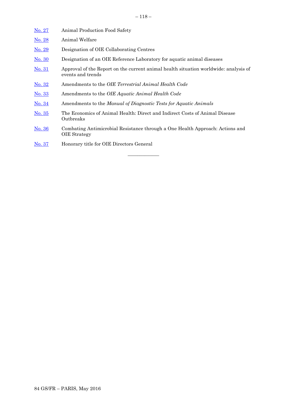| <u>No. 27</u> | Animal Production Food Safety                                                                             |
|---------------|-----------------------------------------------------------------------------------------------------------|
| No. 28        | Animal Welfare                                                                                            |
| No. 29        | Designation of OIE Collaborating Centres                                                                  |
| No. 30        | Designation of an OIE Reference Laboratory for aquatic animal diseases                                    |
| <u>No. 31</u> | Approval of the Report on the current animal health situation worldwide: analysis of<br>events and trends |
| No. 32        | Amendments to the <i>OIE Terrestrial Animal Health Code</i>                                               |
| No. 33        | Amendments to the OIE Aquatic Animal Health Code                                                          |
| No. 34        | Amendments to the <i>Manual of Diagnostic Tests for Aquatic Animals</i>                                   |
| No. 35        | The Economics of Animal Health: Direct and Indirect Costs of Animal Disease<br>Outbreaks                  |
| No. 36        | Combating Antimicrobial Resistance through a One Health Approach: Actions and<br>OIE Strategy             |
| <u>No. 37</u> | Honorary title for OIE Directors General                                                                  |

\_\_\_\_\_\_\_\_\_\_\_\_\_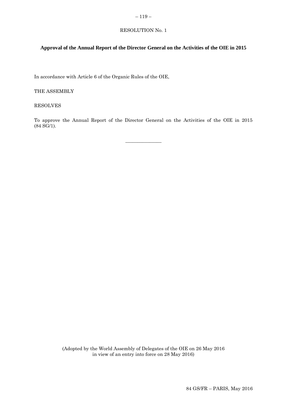#### <span id="page-4-0"></span> $-119-$

# RESOLUTION No. 1

# **Approval of the Annual Report of the Director General on the Activities of the OIE in 2015**

In accordance with Article 6 of the Organic Rules of the OIE,

THE ASSEMBLY

#### RESOLVES

To approve the Annual Report of the Director General on the Activities of the OIE in 2015 (84 SG/1).

 $\overline{\phantom{a}}$  , where  $\overline{\phantom{a}}$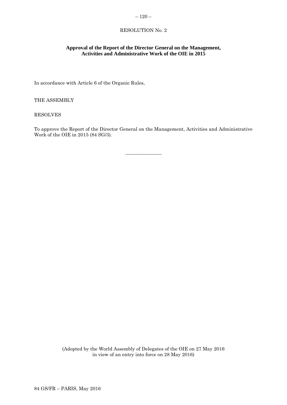# <span id="page-5-0"></span> $-120-$

# RESOLUTION No. 2

# **Approval of the Report of the Director General on the Management, Activities and Administrative Work of the OIE in 2015**

In accordance with Article 6 of the Organic Rules,

THE ASSEMBLY

RESOLVES

To approve the Report of the Director General on the Management, Activities and Administrative Work of the OIE in 2015 (84 SG/3).

 $\overline{\phantom{a}}$  , where  $\overline{\phantom{a}}$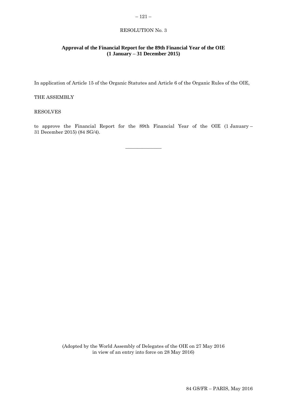# RESOLUTION No. 3

# **Approval of the Financial Report for the 89th Financial Year of the OIE (1 January – 31 December 2015)**

In application of Article 15 of the Organic Statutes and Article 6 of the Organic Rules of the OIE,

# THE ASSEMBLY

#### RESOLVES

to approve the Financial Report for the 89th Financial Year of the OIE (1 January – 31 December 2015) (84 SG/4).

 $\overline{\phantom{a}}$  , where  $\overline{\phantom{a}}$ 

(Adopted by the World Assembly of Delegates of the OIE on 27 May 2016 in view of an entry into force on 28 May 2016)

#### <span id="page-6-0"></span> $-121-$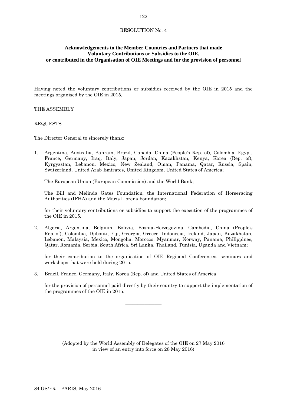#### <span id="page-7-0"></span> $-122-$

### RESOLUTION No. 4

# **Acknowledgements to the Member Countries and Partners that made Voluntary Contributions or Subsidies to the OIE, or contributed in the Organisation of OIE Meetings and for the provision of personnel**

Having noted the voluntary contributions or subsidies received by the OIE in 2015 and the meetings organised by the OIE in 2015,

THE ASSEMBLY

# REQUESTS

The Director General to sincerely thank:

1. Argentina, Australia, Bahrain, Brazil, Canada, China (People's Rep. of), Colombia, Egypt, France, Germany, Iraq, Italy, Japan, Jordan, Kazakhstan, Kenya, Korea (Rep. of), Kyrgyzstan, Lebanon, Mexico, New Zealand, Oman, Panama, Qatar, Russia, Spain, Switzerland, United Arab Emirates, United Kingdom, United States of America;

The European Union (European Commission) and the World Bank;

The Bill and Melinda Gates Foundation, the International Federation of Horseracing Authorities (IFHA) and the Maris Llorens Foundation;

for their voluntary contributions or subsidies to support the execution of the programmes of the OIE in 2015.

2. Algeria, Argentina, Belgium, Bolivia, Bosnia-Herzegovina, Cambodia, China (People's Rep. of), Colombia, Djibouti, Fiji, Georgia, Greece, Indonesia, Ireland, Japan, Kazakhstan, Lebanon, Malaysia, Mexico, Mongolia, Morocco, Myanmar, Norway, Panama, Philippines, Qatar, Romania, Serbia, South Africa, Sri Lanka, Thailand, Tunisia, Uganda and Vietnam;

for their contribution to the organisation of OIE Regional Conferences, seminars and workshops that were held during 2015.

3. Brazil, France, Germany, Italy, Korea (Rep. of) and United States of America

for the provision of personnel paid directly by their country to support the implementation of the programmes of the OIE in 2015.

 $\overline{\phantom{a}}$  , where  $\overline{\phantom{a}}$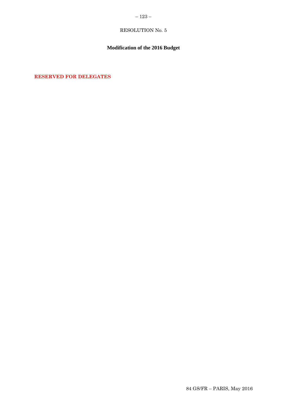# <span id="page-8-0"></span> $-123-$

# RESOLUTION No. 5

# **Modification of the 2016 Budget**

**RESERVED FOR DELEGATES**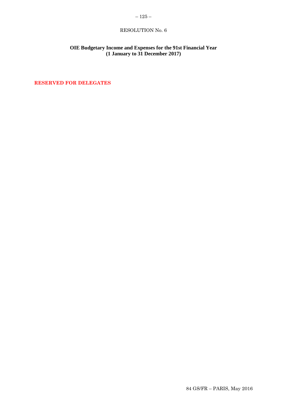# <span id="page-10-0"></span> $-125-$

# RESOLUTION No. 6

# **OIE Budgetary Income and Expenses for the 91st Financial Year (1 January to 31 December 2017)**

**RESERVED FOR DELEGATES**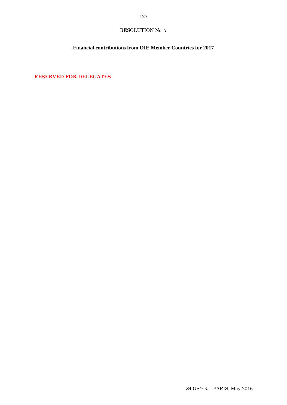# <span id="page-12-0"></span> $-127-$

# RESOLUTION No. 7

# **Financial contributions from OIE Member Countries for 2017**

**RESERVED FOR DELEGATES**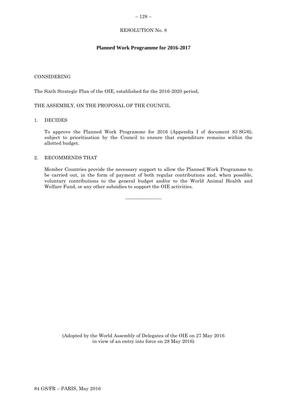### <span id="page-13-0"></span>– 128 –

# RESOLUTION No. 8

# **Planned Work Programme for 2016-2017**

# CONSIDERING

The Sixth Strategic Plan of the OIE, established for the 2016-2020 period,

THE ASSEMBLY, ON THE PROPOSAL OF THE COUNCIL

#### 1. DECIDES

To approve the Planned Work Programme for 2016 (Appendix I of document 83 SG/6), subject to prioritisation by the Council to ensure that expenditure remains within the allotted budget.

# 2. RECOMMENDS THAT

Member Countries provide the necessary support to allow the Planned Work Programme to be carried out, in the form of payment of both regular contributions and, when possible, voluntary contributions to the general budget and/or to the World Animal Health and Welfare Fund, or any other subsidies to support the OIE activities.

 $\overline{\phantom{a}}$  , where  $\overline{\phantom{a}}$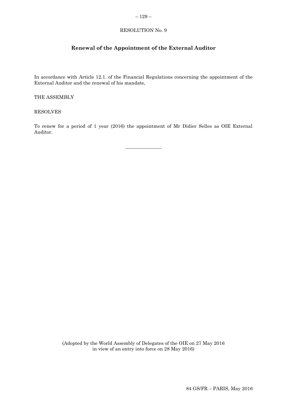# <span id="page-14-0"></span>– 129 –

# RESOLUTION No. 9

# **Renewal of the Appointment of the External Auditor**

In accordance with Article 12.1. of the Financial Regulations concerning the appointment of the External Auditor and the renewal of his mandate,

THE ASSEMBLY

RESOLVES

To renew for a period of 1 year (2016) the appointment of Mr Didier Selles as OIE External Auditor.

 $\overline{\phantom{a}}$  , where  $\overline{\phantom{a}}$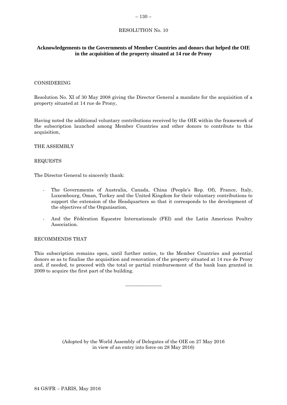#### <span id="page-15-0"></span> $-130-$

# RESOLUTION No. 10

# **Acknowledgements to the Governments of Member Countries and donors that helped the OIE in the acquisition of the property situated at 14 rue de Prony**

# CONSIDERING

Resolution No. XI of 30 May 2008 giving the Director General a mandate for the acquisition of a property situated at 14 rue de Prony,

Having noted the additional voluntary contributions received by the OIE within the framework of the subscription launched among Member Countries and other donors to contribute to this acquisition,

#### THE ASSEMBLY

# REQUESTS

The Director General to sincerely thank:

- The Governments of Australia, Canada, China (People's Rep. Of), France, Italy, Luxembourg, Oman, Turkey and the United Kingdom for their voluntary contributions to support the extension of the Headquarters so that it corresponds to the development of the objectives of the Organisation,
- And the Fédération Equestre Internationale (FEI) and the Latin American Poultry Association.

#### RECOMMENDS THAT

This subscription remains open, until further notice, to the Member Countries and potential donors so as to finalise the acquisition and renovation of the property situated at 14 rue de Prony and, if needed, to proceed with the total or partial reimbursement of the bank loan granted in 2009 to acquire the first part of the building.

 $\overline{\phantom{a}}$  , where  $\overline{\phantom{a}}$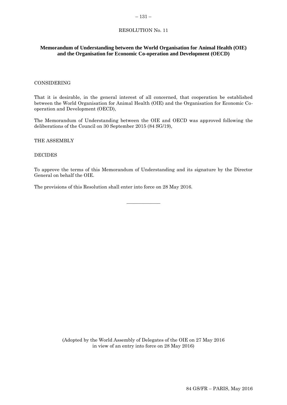#### <span id="page-16-0"></span> $-131-$

# RESOLUTION No. 11

# **Memorandum of Understanding between the World Organisation for Animal Health (OIE) and the Organisation for Economic Co-operation and Development (OECD)**

#### CONSIDERING

That it is desirable, in the general interest of all concerned, that cooperation be established between the World Organisation for Animal Health (OIE) and the Organisation for Economic Cooperation and Development (OECD),

The Memorandum of Understanding between the OIE and OECD was approved following the deliberations of the Council on 30 September 2015 (84 SG/19),

THE ASSEMBLY

DECIDES

To approve the terms of this Memorandum of Understanding and its signature by the Director General on behalf the OIE.

 $\overline{\phantom{a}}$  , where  $\overline{\phantom{a}}$ 

The provisions of this Resolution shall enter into force on 28 May 2016.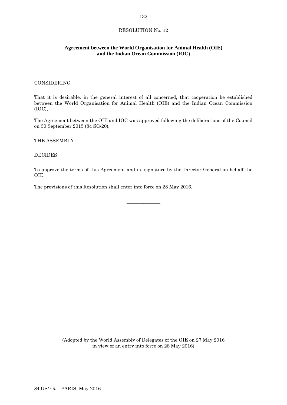# <span id="page-17-0"></span>– 132 –

# RESOLUTION No. 12

# **Agreement between the World Organisation for Animal Health (OIE) and the Indian Ocean Commission (IOC)**

# CONSIDERING

That it is desirable, in the general interest of all concerned, that cooperation be established between the World Organisation for Animal Health (OIE) and the Indian Ocean Commission (IOC),

The Agreement between the OIE and IOC was approved following the deliberations of the Council on 30 September 2015 (84 SG/20),

THE ASSEMBLY

DECIDES

To approve the terms of this Agreement and its signature by the Director General on behalf the OIE.

 $\overline{\phantom{a}}$  , where  $\overline{\phantom{a}}$ 

The provisions of this Resolution shall enter into force on 28 May 2016.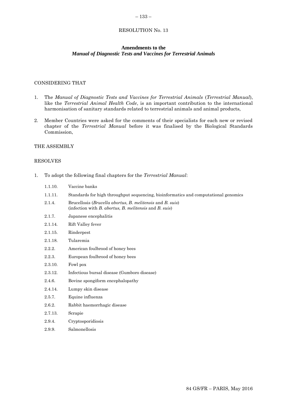#### <span id="page-18-0"></span>– 133 –

#### RESOLUTION No. 13

# **Amendments to the**  *Manual of Diagnostic Tests and Vaccines for Terrestrial Animals*

# CONSIDERING THAT

- 1. The *Manual of Diagnostic Tests and Vaccines for Terrestrial Animals* (*Terrestrial Manual*), like the *Terrestrial Animal Health Code*, is an important contribution to the international harmonisation of sanitary standards related to terrestrial animals and animal products,
- 2. Member Countries were asked for the comments of their specialists for each new or revised chapter of the *Terrestrial Manual* before it was finalised by the Biological Standards Commission,

#### THE ASSEMBLY

#### RESOLVES

1. To adopt the following final chapters for the *Terrestrial Manual*:

- 1.1.11. Standards for high throughput sequencing, bioinformatics and computational genomics
- 2.1.4. Brucellosis (*Brucella abortus, B. melitensis* and *B. suis*) (infection with *B. abortus, B. melitensis* and *B. suis*)
- 2.1.7. Japanese encephalitis
- 2.1.14. Rift Valley fever
- 2.1.15. Rinderpest
- 2.1.18. Tularemia
- 2.2.2. American foulbrood of honey bees
- 2.2.3. European foulbrood of honey bees
- 2.3.10. Fowl pox
- 2.3.12. Infectious bursal disease (Gumboro disease)
- 2.4.6. Bovine spongiform encephalopathy
- 2.4.14. Lumpy skin disease
- 2.5.7. Equine influenza
- 2.6.2. Rabbit haemorrhagic disease
- 2.7.13. Scrapie
- 2.9.4. Cryptosporidiosis
- 2.9.9. Salmonellosis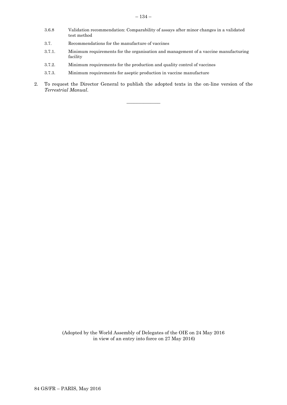- 3.6.8 Validation recommendation: Comparability of assays after minor changes in a validated test method
- 3.7. Recommendations for the manufacture of vaccines
- 3.7.1. Minimum requirements for the organisation and management of a vaccine manufacturing facility
- 3.7.2. Minimum requirements for the production and quality control of vaccines
- 3.7.3. Minimum requirements for aseptic production in vaccine manufacture
- 2. To request the Director General to publish the adopted texts in the on-line version of the *Terrestrial Manual*.

 $\overline{\phantom{a}}$  , where  $\overline{\phantom{a}}$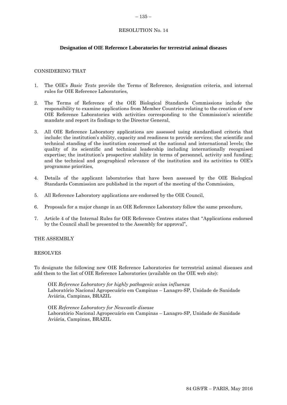#### <span id="page-20-0"></span> $-135-$

# RESOLUTION No. 14

# **Designation of OIE Reference Laboratories for terrestrial animal diseases**

# CONSIDERING THAT

- 1. The OIE's *Basic Texts* provide the Terms of Reference, designation criteria, and internal rules for OIE Reference Laboratories,
- 2. The Terms of Reference of the OIE Biological Standards Commissions include the responsibility to examine applications from Member Countries relating to the creation of new OIE Reference Laboratories with activities corresponding to the Commission's scientific mandate and report its findings to the Director General,
- 3. All OIE Reference Laboratory applications are assessed using standardised criteria that include: the institution's ability, capacity and readiness to provide services; the scientific and technical standing of the institution concerned at the national and international levels; the quality of its scientific and technical leadership including internationally recognised expertise; the institution's prospective stability in terms of personnel, activity and funding; and the technical and geographical relevance of the institution and its activities to OIE's programme priorities,
- 4. Details of the applicant laboratories that have been assessed by the OIE Biological Standards Commission are published in the report of the meeting of the Commission,
- 5. All Reference Laboratory applications are endorsed by the OIE Council,
- 6. Proposals for a major change in an OIE Reference Laboratory follow the same procedure,
- 7. Article 4 of the Internal Rules for OIE Reference Centres states that "Applications endorsed by the Council shall be presented to the Assembly for approval",

#### THE ASSEMBLY

#### RESOLVES

To designate the following new OIE Reference Laboratories for terrestrial animal diseases and add them to the list of OIE Reference Laboratories (available on the OIE web site):

OIE *Reference Laboratory for highly pathogenic avian influenza*  Laboratório Nacional Agropecuário em Campinas – Lanagro-SP, Unidade de Sanidade Aviária, Campinas, BRAZIL

OIE *Reference Laboratory for Newcastle disease* Laboratório Nacional Agropecuário em Campinas – Lanagro-SP, Unidade de Sanidade Aviária, Campinas, BRAZIL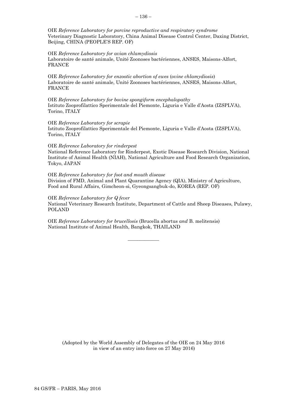OIE *Reference Laboratory for porcine reproductive and respiratory syndrome* Veterinary Diagnostic Laboratory, China Animal Disease Control Center, Daxing District, Beijing, CHINA (PEOPLE'S REP. OF)

#### OIE *Reference Laboratory for avian chlamydiosis* Laboratoire de santé animale, Unité Zoonoses bactériennes, ANSES, Maisons-Alfort, FRANCE

OIE *Reference Laboratory for enzootic abortion of ewes* (*ovine chlamydiosis*) Laboratoire de santé animale, Unité Zoonoses bactériennes, ANSES, Maisons-Alfort, FRANCE

OIE *Reference Laboratory for bovine spongiform encephalopathy*  Istituto Zooprofilattico Sperimentale del Piemonte, Liguria e Valle d'Aosta (IZSPLVA), Torino, ITALY

OIE *Reference Laboratory for scrapie* Istituto Zooprofilattico Sperimentale del Piemonte, Liguria e Valle d'Aosta (IZSPLVA), Torino, ITALY

### OIE *Reference Laboratory for rinderpest*

National Reference Laboratory for Rinderpest, Exotic Disease Research Division, National Institute of Animal Health (NIAH), National Agriculture and Food Research Organization, Tokyo, JAPAN

OIE *Reference Laboratory for foot and mouth disease* Division of FMD, Animal and Plant Quarantine Agency (QIA), Ministry of Agriculture, Food and Rural Affairs, Gimcheon-si, Gyeongsangbuk-do, KOREA (REP. OF)

#### OIE *Reference Laboratory for Q fever*

National Veterinary Research Institute, Department of Cattle and Sheep Diseases, Pulawy, POLAND

OIE *Reference Laboratory for brucellosis* (Brucella abortus *and* B. melitensis) National Institute of Animal Health, Bangkok, THAILAND

 $\overline{\phantom{a}}$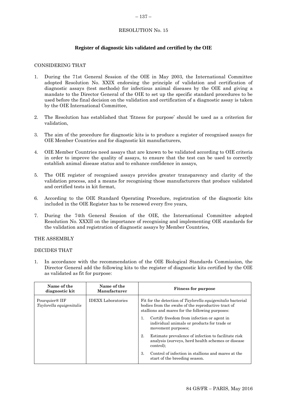# <span id="page-22-0"></span>– 137 –

# RESOLUTION No. 15

# **Register of diagnostic kits validated and certified by the OIE**

# CONSIDERING THAT

- 1. During the 71st General Session of the OIE in May 2003, the International Committee adopted Resolution No. XXIX endorsing the principle of validation and certification of diagnostic assays (test methods) for infectious animal diseases by the OIE and giving a mandate to the Director General of the OIE to set up the specific standard procedures to be used before the final decision on the validation and certification of a diagnostic assay is taken by the OIE International Committee,
- 2. The Resolution has established that 'fitness for purpose' should be used as a criterion for validation,
- 3. The aim of the procedure for diagnostic kits is to produce a register of recognised assays for OIE Member Countries and for diagnostic kit manufacturers,
- 4. OIE Member Countries need assays that are known to be validated according to OIE criteria in order to improve the quality of assays, to ensure that the test can be used to correctly establish animal disease status and to enhance confidence in assays,
- 5. The OIE register of recognised assays provides greater transparency and clarity of the validation process, and a means for recognising those manufacturers that produce validated and certified tests in kit format,
- 6. According to the OIE Standard Operating Procedure, registration of the diagnostic kits included in the OIE Register has to be renewed every five years,
- 7. During the 74th General Session of the OIE, the International Committee adopted Resolution No. XXXII on the importance of recognising and implementing OIE standards for the validation and registration of diagnostic assays by Member Countries,

#### THE ASSEMBLY

#### DECIDES THAT

1. In accordance with the recommendation of the OIE Biological Standards Commission, the Director General add the following kits to the register of diagnostic kits certified by the OIE as validated as fit for purpose:

| Name of the<br>diagnostic kit                          | Name of the<br><b>Manufacturer</b> | <b>Fitness for purpose</b>                                                                                                                                           |  |
|--------------------------------------------------------|------------------------------------|----------------------------------------------------------------------------------------------------------------------------------------------------------------------|--|
| Pourquier <sup>®</sup> IIF<br>Taylorella equigenitalis | <b>IDEXX</b> Laboratories          | Fit for the detection of Taylorella equigenitalis bacterial<br>bodies from the swabs of the reproductive tract of<br>stallions and mares for the following purposes: |  |
|                                                        |                                    | Certify freedom from infection or agent in<br>1.<br>individual animals or products for trade or<br>movement purposes;                                                |  |
|                                                        |                                    | Estimate prevalence of infection to facilitate risk<br>2.<br>analysis (surveys, herd health schemes or disease)<br>control);                                         |  |
|                                                        |                                    | Control of infection in stallions and mares at the<br>3.<br>start of the breeding season.                                                                            |  |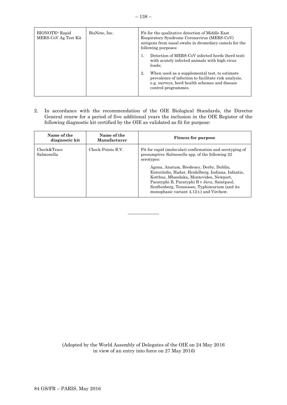| BIONOTE <sup>®</sup> Rapid<br>MERS-CoV Ag Test Kit | BioNote, Inc. | Fit for the qualitative detection of Middle East<br>Respiratory Syndrome Coronavirus (MERS-CoV)<br>antigens from nasal swabs in dromedary camels for the<br>following purposes:     |  |
|----------------------------------------------------|---------------|-------------------------------------------------------------------------------------------------------------------------------------------------------------------------------------|--|
|                                                    |               | Detection of MERS CoV infected herds (herd test)<br>1.<br>with acutely infected animals with high virus<br>loads:                                                                   |  |
|                                                    |               | 2.<br>When used as a supplemental test, to estimate<br>prevalence of infection to facilitate risk analysis,<br>e.g. surveys, herd health schemes and disease<br>control programmes. |  |

2. In accordance with the recommendation of the OIE Biological Standards, the Director General renew for a period of five additional years the inclusion in the OIE Register of the following diagnostic kit certified by the OIE as validated as fit for purpose:

| Name of the<br>diagnostic kit | Name of the<br>Manufacturer | <b>Fitness for purpose</b>                                                                                                                                                                                                                                                                                                  |
|-------------------------------|-----------------------------|-----------------------------------------------------------------------------------------------------------------------------------------------------------------------------------------------------------------------------------------------------------------------------------------------------------------------------|
| Check&Trace<br>Salmonella     | Check-Points B.V.           | Fit for rapid (molecular) confirmation and serotyping of<br>presumptive <i>Salmonella</i> spp. of the following 22<br>serotypes:<br>Agona, Anatum, Bredeney, Derby, Dublin,<br>Enteritidis, Hadar, Heidelberg, Indiana, Infantis,<br>Kottbus, Mbandaka, Montevideo, Newport,<br>Paratyphi B, Paratyphi B v Java, Saintpaul, |
|                               |                             | Senftenberg, Tennessee, Typhimurium (and its<br>monophasic variant 4,12:i:) and Virchow.                                                                                                                                                                                                                                    |

 $\overline{\phantom{a}}$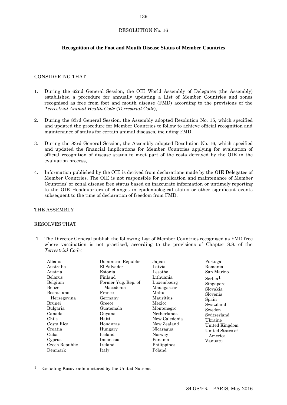# <span id="page-24-0"></span>RESOLUTION No. 16

# **Recognition of the Foot and Mouth Disease Status of Member Countries**

# CONSIDERING THAT

- 1. During the 62nd General Session, the OIE World Assembly of Delegates (the Assembly) established a procedure for annually updating a List of Member Countries and zones recognised as free from foot and mouth disease (FMD) according to the provisions of the *Terrestrial Animal Health Code* (*Terrestrial Code*),
- 2. During the 83rd General Session, the Assembly adopted Resolution No. 15, which specified and updated the procedure for Member Countries to follow to achieve official recognition and maintenance of status for certain animal diseases, including FMD,
- 3. During the 83rd General Session, the Assembly adopted Resolution No. 16, which specified and updated the financial implications for Member Countries applying for evaluation of official recognition of disease status to meet part of the costs defrayed by the OIE in the evaluation process,
- 4. Information published by the OIE is derived from declarations made by the OIE Delegates of Member Countries. The OIE is not responsible for publication and maintenance of Member Countries' or zonal disease free status based on inaccurate information or untimely reporting to the OIE Headquarters of changes in epidemiological status or other significant events subsequent to the time of declaration of freedom from FMD,

# THE ASSEMBLY

#### RESOLVES THAT

l

1. The Director General publish the following List of Member Countries recognised as FMD free where vaccination is not practised, according to the provisions of Chapter 8.8. of the *Terrestrial Code:*

| Albania                                                                                                                                                         | Dominican Republic                                                                                                                                                   | Japan                                                                                                                                                                              | Portugal                                                                                                                                                                       |
|-----------------------------------------------------------------------------------------------------------------------------------------------------------------|----------------------------------------------------------------------------------------------------------------------------------------------------------------------|------------------------------------------------------------------------------------------------------------------------------------------------------------------------------------|--------------------------------------------------------------------------------------------------------------------------------------------------------------------------------|
| Australia                                                                                                                                                       | El Salvador                                                                                                                                                          | Latvia                                                                                                                                                                             | Romania                                                                                                                                                                        |
| Austria                                                                                                                                                         | Estonia                                                                                                                                                              | Lesotho                                                                                                                                                                            | San Marino                                                                                                                                                                     |
| Belarus<br>Belgium<br>Belize<br>Bosnia and<br>Herzegovina<br>Brunei<br>Bulgaria<br>Canada<br>Chile<br>Costa Rica<br>Croatia<br>Cuba<br>Cyprus<br>Czech Republic | Finland<br>Former Yug. Rep. of<br>Macedonia<br>France<br>Germany<br>Greece<br>Guatemala<br>Guyana<br>Haiti<br>Honduras<br>Hungary<br>Iceland<br>Indonesia<br>Ireland | Lithuania<br>Luxembourg<br>Madagascar<br>Malta<br>Mauritius<br>Mexico<br>Montenegro<br>Netherlands<br>New Caledonia<br>New Zealand<br>Nicaragua<br>Norway<br>Panama<br>Philippines | Serbia <sup>1</sup><br>Singapore<br>Slovakia<br>Slovenia<br>Spain<br>Swaziland<br>Sweden<br>Switzerland<br>Ukraine<br>United Kingdom<br>United States of<br>America<br>Vanuatu |
| Denmark                                                                                                                                                         | Italy                                                                                                                                                                | Poland                                                                                                                                                                             |                                                                                                                                                                                |

<sup>1</sup> Excluding Kosovo administered by the United Nations.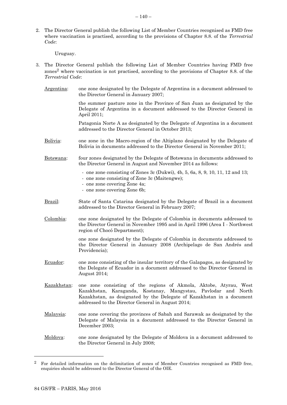2. The Director General publish the following List of Member Countries recognised as FMD free where vaccination is practised, according to the provisions of Chapter 8.8. of the *Terrestrial Code*:

Uruguay.

- 3. The Director General publish the following List of Member Countries having FMD free  $zones<sup>2</sup>$  where vaccination is not practised, according to the provisions of Chapter 8.8. of the *Terrestrial Code*:
	- Argentina: one zone designated by the Delegate of Argentina in a document addressed to the Director General in January 2007;

the summer pasture zone in the Province of San Juan as designated by the Delegate of Argentina in a document addressed to the Director General in April 2011;

Patagonia Norte A as designated by the Delegate of Argentina in a document addressed to the Director General in October 2013;

- Bolivia: one zone in the Macro-region of the Altiplano designated by the Delegate of Bolivia in documents addressed to the Director General in November 2011;
- Botswana: four zones designated by the Delegate of Botswana in documents addressed to the Director General in August and November 2014 as follows:
	- one zone consisting of Zones 3c (Dukwi), 4b, 5, 6a, 8, 9, 10, 11, 12 and 13;
	- one zone consisting of Zone 3c (Maitengwe);
	- one zone covering Zone 4a;
	- one zone covering Zone 6b;
- Brazil: State of Santa Catarina designated by the Delegate of Brazil in a document addressed to the Director General in February 2007;
- Colombia: one zone designated by the Delegate of Colombia in documents addressed to the Director General in November 1995 and in April 1996 (Area I - Northwest region of Chocó Department);

one zone designated by the Delegate of Colombia in documents addressed to the Director General in January 2008 (Archipelago de San Andrés and Providencia);

- Ecuador: one zone consisting of the insular territory of the Galapagos, as designated by the Delegate of Ecuador in a document addressed to the Director General in August 2014;
- Kazakhstan: one zone consisting of the regions of Akmola, Aktobe, Atyrau, West Kazakhstan, Karaganda, Kostanay, Mangystau, Pavlodar and North Kazakhstan, as designated by the Delegate of Kazakhstan in a document addressed to the Director General in August 2014;
- Malaysia: one zone covering the provinces of Sabah and Sarawak as designated by the Delegate of Malaysia in a document addressed to the Director General in December 2003;
- Moldova: one zone designated by the Delegate of Moldova in a document addressed to the Director General in July 2008;

l

<sup>2</sup> For detailed information on the delimitation of zones of Member Countries recognised as FMD free, enquiries should be addressed to the Director General of the OIE.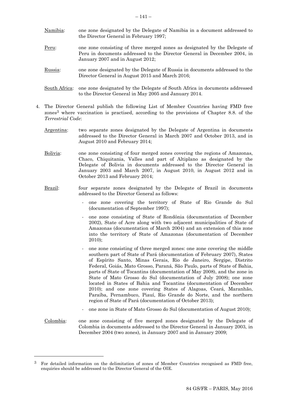- Namibia: one zone designated by the Delegate of Namibia in a document addressed to the Director General in February 1997;
- Peru: one zone consisting of three merged zones as designated by the Delegate of Peru in documents addressed to the Director General in December 2004, in January 2007 and in August 2012;
- Russia: one zone designated by the Delegate of Russia in documents addressed to the Director General in August 2015 and March 2016;
- South Africa: one zone designated by the Delegate of South Africa in documents addressed to the Director General in May 2005 and January 2014.
- 4. The Director General publish the following List of Member Countries having FMD free zones<sup>3</sup> where vaccination is practised, according to the provisions of Chapter 8.8. of the *Terrestrial Code*:
	- Argentina: two separate zones designated by the Delegate of Argentina in documents addressed to the Director General in March 2007 and October 2013, and in August 2010 and February 2014;
	- Bolivia: one zone consisting of four merged zones covering the regions of Amazonas, Chaco, Chiquitania, Valles and part of Altiplano as designated by the Delegate of Bolivia in documents addressed to the Director General in January 2003 and March 2007, in August 2010, in August 2012 and in October 2013 and February 2014;
	- Brazil: four separate zones designated by the Delegate of Brazil in documents addressed to the Director General as follows:
		- one zone covering the territory of State of Rio Grande do Sul (documentation of September 1997);
		- one zone consisting of State of Rondônia (documentation of December 2002), State of Acre along with two adjacent municipalities of State of Amazonas (documentation of March 2004) and an extension of this zone into the territory of State of Amazonas (documentation of December 2010);
		- one zone consisting of three merged zones: one zone covering the middle southern part of State of Pará (documentation of February 2007), States of Espírito Santo, Minas Gerais, Rio de Janeiro, Sergipe, Distrito Federal, Goiás, Mato Grosso, Paraná, São Paulo, parts of State of Bahia, parts of State of Tocantins (documentation of May 2008), and the zone in State of Mato Grosso do Sul (documentation of July 2008); one zone located in States of Bahia and Tocantins (documentation of December 2010); and one zone covering States of Alagoas, Ceará, Maranhão, Paraíba, Pernambuco, Piauí, Rio Grande do Norte, and the northern region of State of Pará (documentation of October 2013);
		- one zone in State of Mato Grosso do Sul (documentation of August 2010);
	- Colombia: one zone consisting of five merged zones designated by the Delegate of Colombia in documents addressed to the Director General in January 2003, in December 2004 (two zones), in January 2007 and in January 2009;

l

<sup>3</sup> For detailed information on the delimitation of zones of Member Countries recognised as FMD free, enquiries should be addressed to the Director General of the OIE.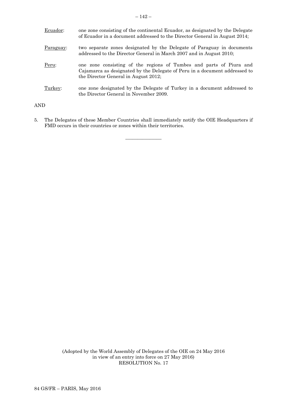| Ecuador:  | one zone consisting of the continental Ecuador, as designated by the Delegate<br>of Ecuador in a document addressed to the Director General in August 2014;                               |
|-----------|-------------------------------------------------------------------------------------------------------------------------------------------------------------------------------------------|
| Paraguay: | two separate zones designated by the Delegate of Paraguay in documents<br>addressed to the Director General in March 2007 and in August 2010;                                             |
| Peru:     | one zone consisting of the regions of Tumbes and parts of Piura and<br>Cajamarca as designated by the Delegate of Peru in a document addressed to<br>the Director General in August 2012; |
| Turkey:   | one zone designated by the Delegate of Turkey in a document addressed to<br>the Director General in November 2009.                                                                        |

- AND
- 5. The Delegates of these Member Countries shall immediately notify the OIE Headquarters if FMD occurs in their countries or zones within their territories.

<span id="page-27-0"></span> $\overline{\phantom{a}}$  , where  $\overline{\phantom{a}}$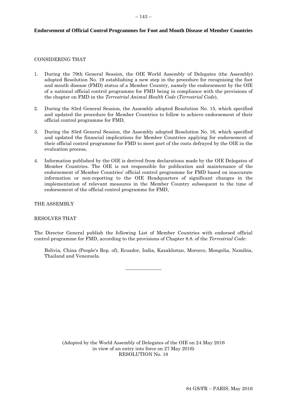# **Endorsement of Official Control Programmes for Foot and Mouth Disease of Member Countries**

# CONSIDERING THAT

- 1. During the 79th General Session, the OIE World Assembly of Delegates (the Assembly) adopted Resolution No. 19 establishing a new step in the procedure for recognising the foot and mouth disease (FMD) status of a Member Country, namely the endorsement by the OIE of a national official control programme for FMD being in compliance with the provisions of the chapter on FMD in the *Terrestrial Animal Health Code* (*Terrestrial Code*),
- 2. During the 83rd General Session, the Assembly adopted Resolution No. 15, which specified and updated the procedure for Member Countries to follow to achieve endorsement of their official control programme for FMD,
- 3. During the 83rd General Session, the Assembly adopted Resolution No. 16, which specified and updated the financial implications for Member Countries applying for endorsement of their official control programme for FMD to meet part of the costs defrayed by the OIE in the evaluation process,
- 4. Information published by the OIE is derived from declarations made by the OIE Delegates of Member Countries. The OIE is not responsible for publication and maintenance of the endorsement of Member Countries' official control programme for FMD based on inaccurate information or non-reporting to the OIE Headquarters of significant changes in the implementation of relevant measures in the Member Country subsequent to the time of endorsement of the official control programme for FMD,

THE ASSEMBLY

#### RESOLVES THAT

The Director General publish the following List of Member Countries with endorsed official control programme for FMD, according to the provisions of Chapter 8.8. of the *Terrestrial Code*:

<span id="page-28-0"></span> $\overline{\phantom{a}}$  , where  $\overline{\phantom{a}}$ 

Bolivia, China (People's Rep. of), Ecuador, India, Kazakhstan, Morocco, Mongolia, Namibia, Thailand and Venezuela.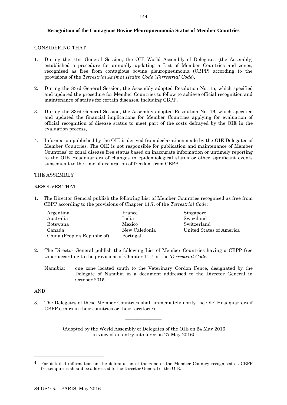# **Recognition of the Contagious Bovine Pleuropneumonia Status of Member Countries**

# CONSIDERING THAT

- 1. During the 71st General Session, the OIE World Assembly of Delegates (the Assembly) established a procedure for annually updating a List of Member Countries and zones, recognised as free from contagious bovine pleuropneumonia (CBPP) according to the provisions of the *Terrestrial Animal Health Code* (*Terrestrial Code*),
- 2. During the 83rd General Session, the Assembly adopted Resolution No. 15, which specified and updated the procedure for Member Countries to follow to achieve official recognition and maintenance of status for certain diseases, including CBPP,
- 3. During the 83rd General Session, the Assembly adopted Resolution No. 16, which specified and updated the financial implications for Member Countries applying for evaluation of official recognition of disease status to meet part of the costs defrayed by the OIE in the evaluation process,
- 4. Information published by the OIE is derived from declarations made by the OIE Delegates of Member Countries. The OIE is not responsible for publication and maintenance of Member Countries' or zonal disease free status based on inaccurate information or untimely reporting to the OIE Headquarters of changes in epidemiological status or other significant events subsequent to the time of declaration of freedom from CBPP,

# THE ASSEMBLY

# RESOLVES THAT

1. The Director General publish the following List of Member Countries recognised as free from CBPP according to the provisions of Chapter 11.7. of the *Terrestrial Code*:

| France        |
|---------------|
| India         |
| Mexico        |
| New Caledonia |
| Portugal      |
|               |

Singapore Swaziland Switzerland United States of America

- 2. The Director General publish the following List of Member Countries having a CBPP free zone4 according to the provisions of Chapter 11.7. of the *Terrestrial Code:*
	- Namibia: one zone located south to the Veterinary Cordon Fence, designated by the Delegate of Namibia in a document addressed to the Director General in October 2015.

# AND

l

3. The Delegates of these Member Countries shall immediately notify the OIE Headquarters if CBPP occurs in their countries or their territories.

 $\overline{\phantom{a}}$  , where  $\overline{\phantom{a}}$ 

<sup>4</sup> For detailed information on the delimitation of the zone of the Member Country recognised as CBPP free,enquiries should be addressed to the Director General of the OIE.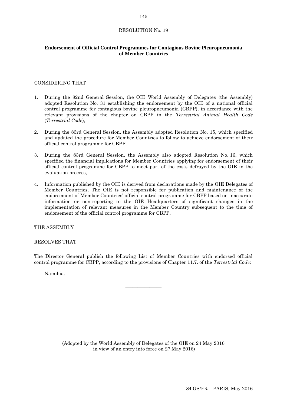#### <span id="page-30-0"></span> $-145-$

#### RESOLUTION No. 19

# **Endorsement of Official Control Programmes for Contagious Bovine Pleuropneumonia of Member Countries**

# CONSIDERING THAT

- 1. During the 82nd General Session, the OIE World Assembly of Delegates (the Assembly) adopted Resolution No. 31 establishing the endorsement by the OIE of a national official control programme for contagious bovine pleuropneumonia (CBPP), in accordance with the relevant provisions of the chapter on CBPP in the *Terrestrial Animal Health Code* (*Terrestrial Code*),
- 2. During the 83rd General Session, the Assembly adopted Resolution No. 15, which specified and updated the procedure for Member Countries to follow to achieve endorsement of their official control programme for CBPP,
- 3. During the 83rd General Session, the Assembly also adopted Resolution No. 16, which specified the financial implications for Member Countries applying for endorsement of their official control programme for CBPP to meet part of the costs defrayed by the OIE in the evaluation process,
- 4. Information published by the OIE is derived from declarations made by the OIE Delegates of Member Countries. The OIE is not responsible for publication and maintenance of the endorsement of Member Countries' official control programme for CBPP based on inaccurate information or non-reporting to the OIE Headquarters of significant changes in the implementation of relevant measures in the Member Country subsequent to the time of endorsement of the official control programme for CBPP,

THE ASSEMBLY

#### RESOLVES THAT

The Director General publish the following List of Member Countries with endorsed official control programme for CBPP, according to the provisions of Chapter 11.7. of the *Terrestrial Code*:

 $\overline{\phantom{a}}$  , where  $\overline{\phantom{a}}$ 

Namibia.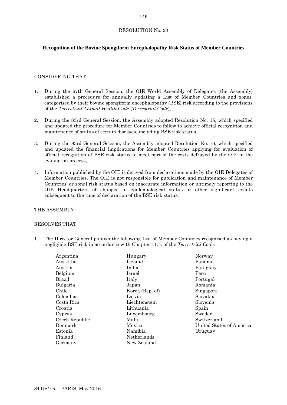# <span id="page-31-0"></span>RESOLUTION No. 20

# **Recognition of the Bovine Spongiform Encephalopathy Risk Status of Member Countries**

### CONSIDERING THAT

- 1. During the 67th General Session, the OIE World Assembly of Delegates (the Assembly) established a procedure for annually updating a List of Member Countries and zones, categorised by their bovine spongiform encephalopathy (BSE) risk according to the provisions of the *Terrestrial Animal Health Code* (*Terrestrial Code*),
- 2. During the 83rd General Session, the Assembly adopted Resolution No. 15, which specified and updated the procedure for Member Countries to follow to achieve official recognition and maintenance of status of certain diseases, including BSE risk status,
- 3. During the 83rd General Session, the Assembly adopted Resolution No. 16, which specified and updated the financial implications for Member Countries applying for evaluation of official recognition of BSE risk status to meet part of the costs defrayed by the OIE in the evaluation process,
- 4. Information published by the OIE is derived from declarations made by the OIE Delegates of Member Countries. The OIE is not responsible for publication and maintenance of Member Countries' or zonal risk status based on inaccurate information or untimely reporting to the OIE Headquarters of changes in epidemiological status or other significant events subsequent to the time of declaration of the BSE risk status,

# THE ASSEMBLY

#### RESOLVES THAT

1. The Director General publish the following List of Member Countries recognised as having a negligible BSE risk in accordance with Chapter 11.4. of the *Terrestrial Code*:

| Argentina      | Hungary         | Norway                   |
|----------------|-----------------|--------------------------|
| Australia      | Iceland         | Panama                   |
| Austria        | India           | Paraguay                 |
| Belgium        | Israel          | Peru                     |
| Brazil         | Italy           | Portugal                 |
| Bulgaria       | Japan           | Romania                  |
| Chile          | Korea (Rep. of) | Singapore                |
| Colombia       | Latvia          | Slovakia                 |
| Costa Rica     | Liechtenstein   | Slovenia                 |
| Croatia        | Lithuania       | Spain                    |
| Cyprus         | Luxembourg      | Sweden                   |
| Czech Republic | Malta           | Switzerland              |
| Denmark        | Mexico          | United States of America |
| Estonia        | Namibia         | Uruguay                  |
| Finland        | Netherlands     |                          |
| Germany        | New Zealand     |                          |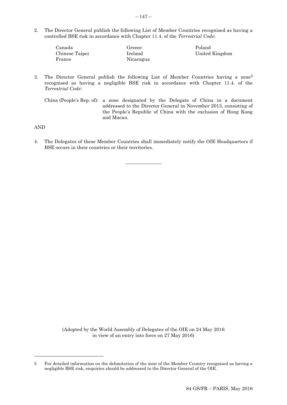2. The Director General publish the following List of Member Countries recognised as having a controlled BSE risk in accordance with Chapter 11.4. of the *Terrestrial Code*:

| Canada         | Greece    | Poland         |
|----------------|-----------|----------------|
| Chinese Taipei | Ireland   | United Kingdom |
| France         | Nicaragua |                |

3. The Director General publish the following List of Member Countries having a zone5 recognised as having a negligible BSE risk in accordance with Chapter 11.4. of the *Terrestrial Code*:

China (People's Rep. of): a zone designated by the Delegate of China in a document addressed to the Director General in November 2013, consisting of the People's Republic of China with the exclusion of Hong Kong and Macau.

AND

l

4. The Delegates of these Member Countries shall immediately notify the OIE Headquarters if BSE occurs in their countries or their territories.

 $\overline{\phantom{a}}$  , where  $\overline{\phantom{a}}$ 

<sup>5</sup> For detailed information on the delimitation of the zone of the Member Country recognised as having a negligible BSE risk, enquiries should be addressed to the Director General of the OIE.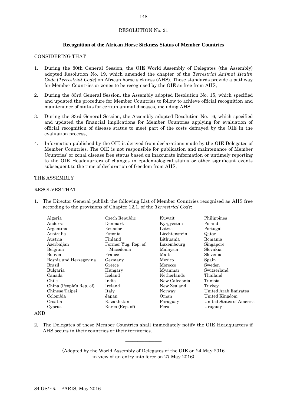# <span id="page-33-0"></span>RESOLUTION No. 21

# **Recognition of the African Horse Sickness Status of Member Countries**

#### CONSIDERING THAT

- 1. During the 80th General Session, the OIE World Assembly of Delegates (the Assembly) adopted Resolution No. 19, which amended the chapter of the *Terrestrial Animal Health Code* (*Terrestrial Code*) on African horse sickness (AHS). These standards provide a pathway for Member Countries or zones to be recognised by the OIE as free from AHS,
- 2. During the 83rd General Session, the Assembly adopted Resolution No. 15, which specified and updated the procedure for Member Countries to follow to achieve official recognition and maintenance of status for certain animal diseases, including AHS,
- 3. During the 83rd General Session, the Assembly adopted Resolution No. 16, which specified and updated the financial implications for Member Countries applying for evaluation of official recognition of disease status to meet part of the costs defrayed by the OIE in the evaluation process,
- 4. Information published by the OIE is derived from declarations made by the OIE Delegates of Member Countries. The OIE is not responsible for publication and maintenance of Member Countries' or zonal disease free status based on inaccurate information or untimely reporting to the OIE Headquarters of changes in epidemiological status or other significant events subsequent to the time of declaration of freedom from AHS.

### THE ASSEMBLY

#### RESOLVES THAT

1. The Director General publish the following List of Member Countries recognised as AHS free according to the provisions of Chapter 12.1. of the *Terrestrial Code*:

| Algeria                  | Czech Republic      | Kuwait        | Philippines              |
|--------------------------|---------------------|---------------|--------------------------|
| Andorra                  | Denmark             | Kyrgyzstan    | Poland                   |
| Argentina                | Ecuador             | Latvia        | Portugal                 |
| Australia                | Estonia             | Liechtenstein | Qatar                    |
| Austria                  | Finland             | Lithuania     | Romania                  |
| Azerbaijan               | Former Yug. Rep. of | Luxembourg    | Singapore                |
| Belgium                  | Macedonia           | Malaysia      | Slovakia                 |
| <b>Bolivia</b>           | France              | Malta         | Slovenia                 |
| Bosnia and Herzegovina   | Germany             | Mexico        | Spain                    |
| Brazil                   | Greece              | Morocco       | Sweden                   |
| Bulgaria                 | Hungary             | Myanmar       | Switzerland              |
| Canada                   | <b>Iceland</b>      | Netherlands   | Thailand                 |
| Chile                    | India               | New Caledonia | Tunisia                  |
| China (People's Rep. of) | Ireland             | New Zealand   | Turkey                   |
| Chinese Taipei           | Italy               | Norway        | United Arab Emirates     |
| Colombia                 | Japan               | Oman          | United Kingdom           |
| Croatia                  | Kazakhstan          | Paraguay      | United States of America |
| Cyprus                   | Korea (Rep. of)     | Peru          | Uruguay                  |

#### AND

2. The Delegates of these Member Countries shall immediately notify the OIE Headquarters if AHS occurs in their countries or their territories.

 $\overline{\phantom{a}}$  , where  $\overline{\phantom{a}}$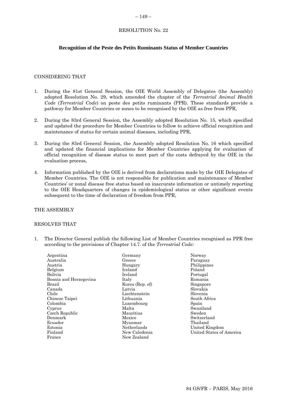#### <span id="page-34-0"></span> $-149-$

# RESOLUTION No. 22

# **Recognition of the Peste des Petits Ruminants Status of Member Countries**

#### CONSIDERING THAT

- 1. During the 81st General Session, the OIE World Assembly of Delegates (the Assembly) adopted Resolution No. 29, which amended the chapter of the *Terrestrial Animal Health Code* (*Terrestrial Code*) on peste des petits ruminants (PPR). These standards provide a pathway for Member Countries or zones to be recognised by the OIE as free from PPR,
- 2. During the 83rd General Session, the Assembly adopted Resolution No. 15, which specified and updated the procedure for Member Countries to follow to achieve official recognition and maintenance of status for certain animal diseases, including PPR,
- 3. During the 83rd General Session, the Assembly adopted Resolution No. 16 which specified and updated the financial implications for Member Countries applying for evaluation of official recognition of disease status to meet part of the costs defrayed by the OIE in the evaluation process,
- 4. Information published by the OIE is derived from declarations made by the OIE Delegates of Member Countries. The OIE is not responsible for publication and maintenance of Member Countries' or zonal disease free status based on inaccurate information or untimely reporting to the OIE Headquarters of changes in epidemiological status or other significant events subsequent to the time of declaration of freedom from PPR,

#### THE ASSEMBLY

#### RESOLVES THAT

1. The Director General publish the following List of Member Countries recognised as PPR free according to the provisions of Chapter 14.7. of the *Terrestrial Code*:

| Argentina              | Germany         |
|------------------------|-----------------|
| Australia              | Greece          |
| Austria                | Hungary         |
| Belgium                | <b>Iceland</b>  |
| Bolivia                | Ireland         |
| Bosnia and Herzegovina | Italy           |
| Brazil                 | Korea (Rep. of) |
| Canada                 | Latvia          |
| Chile                  | Liechtenstein   |
| Chinese Taipei         | Lithuania       |
| Colombia               | Luxembourg      |
| Cyprus                 | Malta           |
| Czech Republic         | Mauritius       |
| Denmark                | Mexico          |
| Ecuador                | Myanmar         |
| Estonia                | Netherlands     |
| Finland                | New Caledonia   |
| France                 | New Zealand     |
|                        |                 |

Norway Paraguay Philippines Poland Portugal Romania Singapore Slovakia Slovenia South Africa Spain Swaziland Sweden Switzerland Thailand United Kingdom United States of America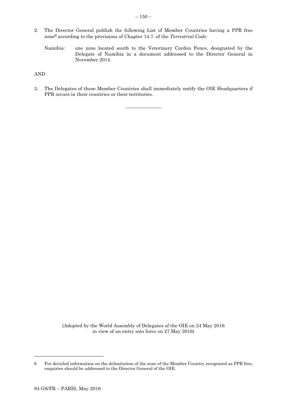- 2. The Director General publish the following List of Member Countries having a PPR free zone6 according to the provisions of Chapter 14.7. of the *Terrestrial Code*:
	- Namibia: one zone located south to the Veterinary Cordon Fence, designated by the Delegate of Namibia in a document addressed to the Director General in November 2014.

AND

3. The Delegates of these Member Countries shall immediately notify the OIE Headquarters if PPR occurs in their countries or their territories.

 $\overline{\phantom{a}}$  , where  $\overline{\phantom{a}}$ 

(Adopted by the World Assembly of Delegates of the OIE on 24 May 2016 in view of an entry into force on 27 May 2016)

l

<sup>6</sup> For detailed information on the delimitation of the zone of the Member Country recognised as PPR free, enquiries should be addressed to the Director General of the OIE.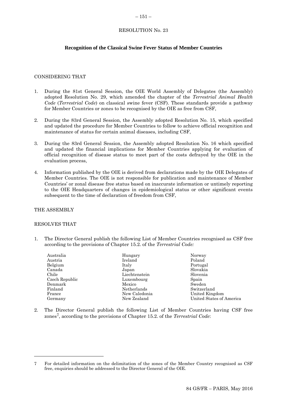#### <span id="page-36-0"></span> $-151-$

# RESOLUTION No. 23

# **Recognition of the Classical Swine Fever Status of Member Countries**

#### CONSIDERING THAT

- 1. During the 81st General Session, the OIE World Assembly of Delegates (the Assembly) adopted Resolution No. 29, which amended the chapter of the *Terrestrial Animal Health Code* (*Terrestrial Code*) on classical swine fever (CSF). These standards provide a pathway for Member Countries or zones to be recognised by the OIE as free from CSF,
- 2. During the 83rd General Session, the Assembly adopted Resolution No. 15, which specified and updated the procedure for Member Countries to follow to achieve official recognition and maintenance of status for certain animal diseases, including CSF,
- 3. During the 83rd General Session, the Assembly adopted Resolution No. 16 which specified and updated the financial implications for Member Countries applying for evaluation of official recognition of disease status to meet part of the costs defrayed by the OIE in the evaluation process,
- 4. Information published by the OIE is derived from declarations made by the OIE Delegates of Member Countries. The OIE is not responsible for publication and maintenance of Member Countries' or zonal disease free status based on inaccurate information or untimely reporting to the OIE Headquarters of changes in epidemiological status or other significant events subsequent to the time of declaration of freedom from CSF,

#### THE ASSEMBLY

#### RESOLVES THAT

l

1. The Director General publish the following List of Member Countries recognised as CSF free according to the provisions of Chapter 15.2. of the *Terrestrial Code:*

| Australia      | Hungary       |
|----------------|---------------|
| Austria        | Ireland       |
| Belgium        | Italy         |
| Canada         | Japan         |
| Chile          | Liechtenstein |
| Czech Republic | Luxembourg    |
| Denmark        | Mexico        |
| Finland        | Netherlands   |
| France         | New Caledonia |
| Germany        | New Zealand   |

- Norway Poland Portugal Slovakia Slovenia Spain Sweden Switzerland United Kingdom United States of America
- 2. The Director General publish the following List of Member Countries having CSF free zones7, according to the provisions of Chapter 15.2. of the *Terrestrial Code*:

<sup>7</sup> For detailed information on the delimitation of the zones of the Member Country recognised as CSF free, enquiries should be addressed to the Director General of the OIE.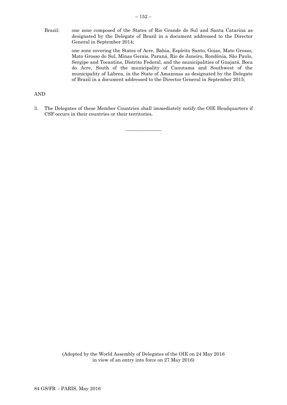Brazil: one zone composed of the States of Rio Grande do Sul and Santa Catarina as designated by the Delegate of Brazil in a document addressed to the Director General in September 2014;

> one zone covering the States of Acre, Bahia, Espírito Santo, Goias, Mato Grosso, Mato Grosso do Sul, Minas Gerais, Paraná, Rio de Janeiro, Rondônia, São Paulo, Sergipe and Tocantins, Distrito Federal, and the municipalities of Guajará, Boca do Acre, South of the municipality of Canutama and Southwest of the municipality of Lábrea, in the State of Amazonas as designated by the Delegate of Brazil in a document addressed to the Director General in September 2015;

# AND

3. The Delegates of these Member Countries shall immediately notify the OIE Headquarters if CSF occurs in their countries or their territories.

 $\overline{\phantom{a}}$  , where  $\overline{\phantom{a}}$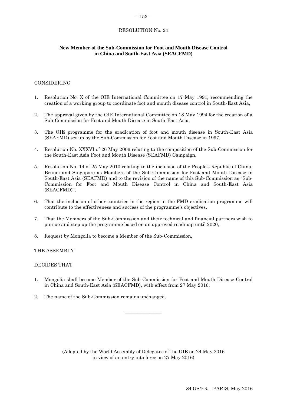#### <span id="page-38-0"></span> $-153-$

# RESOLUTION No. 24

# **New Member of the Sub-Commission for Foot and Mouth Disease Control in China and South-East Asia (SEACFMD)**

# CONSIDERING

- 1. Resolution No. X of the OIE International Committee on 17 May 1991, recommending the creation of a working group to coordinate foot and mouth disease control in South-East Asia,
- 2. The approval given by the OIE International Committee on 18 May 1994 for the creation of a Sub-Commission for Foot and Mouth Disease in South-East Asia,
- 3. The OIE programme for the eradication of foot and mouth disease in South-East Asia (SEAFMD) set up by the Sub-Commission for Foot and Mouth Disease in 1997,
- 4. Resolution No. XXXVI of 26 May 2006 relating to the composition of the Sub-Commission for the South-East Asia Foot and Mouth Disease (SEAFMD) Campaign,
- 5. Resolution No. 14 of 25 May 2010 relating to the inclusion of the People's Republic of China, Brunei and Singapore as Members of the Sub-Commission for Foot and Mouth Disease in South-East Asia (SEAFMD) and to the revision of the name of this Sub-Commission as "Sub-Commission for Foot and Mouth Disease Control in China and South-East Asia (SEACFMD)",
- 6. That the inclusion of other countries in the region in the FMD eradication programme will contribute to the effectiveness and success of the programme's objectives,
- 7. That the Members of the Sub-Commission and their technical and financial partners wish to pursue and step up the programme based on an approved roadmap until 2020,
- 8. Request by Mongolia to become a Member of the Sub-Commission,

#### THE ASSEMBLY

#### DECIDES THAT

1. Mongolia shall become Member of the Sub-Commission for Foot and Mouth Disease Control in China and South-East Asia (SEACFMD), with effect from 27 May 2016;

 $\overline{\phantom{a}}$  , where  $\overline{\phantom{a}}$ 

2. The name of the Sub-Commission remains unchanged.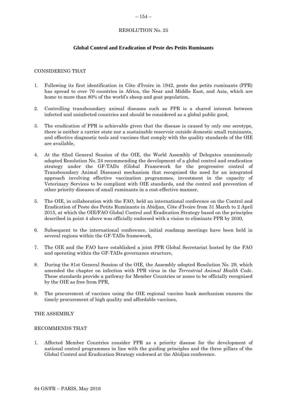#### <span id="page-39-0"></span> $-154-$

# RESOLUTION No. 25

# **Global Control and Eradication of Peste des Petits Ruminants**

#### CONSIDERING THAT

- 1. Following its first identification in Côte d'Ivoire in 1942, peste des petits ruminants (PPR) has spread to over 70 countries in Africa, the Near and Middle East, and Asia, which are home to more than 80% of the world's sheep and goat population,
- 2. Controlling transboundary animal diseases such as PPR is a shared interest between infected and uninfected countries and should be considered as a global public good,
- 3. The eradication of PPR is achievable given that the disease is caused by only one serotype, there is neither a carrier state nor a sustainable reservoir outside domestic small ruminants, and effective diagnostic tools and vaccines that comply with the quality standards of the OIE are available,
- 4. At the 82nd General Session of the OIE, the World Assembly of Delegates unanimously adopted Resolution No. 24 recommending the development of a global control and eradication strategy under the GF-TADs (Global Framework for the progressive control of Transboundary Animal Diseases) mechanism that recognised the need for an integrated approach involving effective vaccination programmes, investment in the capacity of Veterinary Services to be compliant with OIE standards, and the control and prevention of other priority diseases of small ruminants in a cost-effective manner,
- 5. The OIE, in collaboration with the FAO, held an international conference on the Control and Eradication of Peste des Petits Ruminants in Abidjan, Côte d'Ivoire from 31 March to 2 April 2015, at which the OIE/FAO Global Control and Eradication Strategy based on the principles described in point 4 above was officially endorsed with a vision to eliminate PPR by 2030,
- 6. Subsequent to the international conference, initial roadmap meetings have been held in several regions within the GF-TADs framework,
- 7. The OIE and the FAO have established a joint PPR Global Secretariat hosted by the FAO and operating within the GF-TADs governance structure,
- 8. During the 81st General Session of the OIE, the Assembly adopted Resolution No. 29, which amended the chapter on infection with PPR virus in the *Terrestrial Animal Health Code*. These standards provide a pathway for Member Countries or zones to be officially recognised by the OIE as free from PPR,
- 9. The procurement of vaccines using the OIE regional vaccine bank mechanism ensures the timely procurement of high quality and affordable vaccines,

# THE ASSEMBLY

#### RECOMMENDS THAT

1. Affected Member Countries consider PPR as a priority disease for the development of national control programmes in line with the guiding principles and the three pillars of the Global Control and Eradication Strategy endorsed at the Abidjan conference.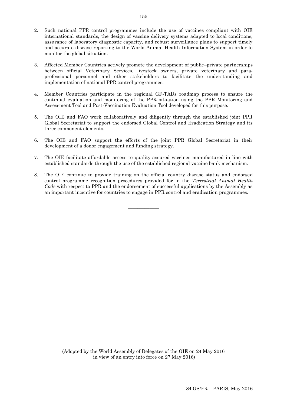- 2. Such national PPR control programmes include the use of vaccines compliant with OIE international standards, the design of vaccine delivery systems adapted to local conditions, assurance of laboratory diagnostic capacity, and robust surveillance plans to support timely and accurate disease reporting to the World Animal Health Information System in order to monitor the global situation.
- 3. Affected Member Countries actively promote the development of public–private partnerships between official Veterinary Services, livestock owners, private veterinary and paraprofessional personnel and other stakeholders to facilitate the understanding and implementation of national PPR control programmes.
- 4. Member Countries participate in the regional GF-TADs roadmap process to ensure the continual evaluation and monitoring of the PPR situation using the PPR Monitoring and Assessment Tool and Post-Vaccination Evaluation Tool developed for this purpose.
- 5. The OIE and FAO work collaboratively and diligently through the established joint PPR Global Secretariat to support the endorsed Global Control and Eradication Strategy and its three component elements.
- 6. The OIE and FAO support the efforts of the joint PPR Global Secretariat in their development of a donor engagement and funding strategy.
- 7. The OIE facilitate affordable access to quality-assured vaccines manufactured in line with established standards through the use of the established regional vaccine bank mechanism.
- 8. The OIE continue to provide training on the official country disease status and endorsed control programme recognition procedures provided for in the *Terrestrial Animal Health Code* with respect to PPR and the endorsement of successful applications by the Assembly as an important incentive for countries to engage in PPR control and eradication programmes.

 $\overline{\phantom{a}}$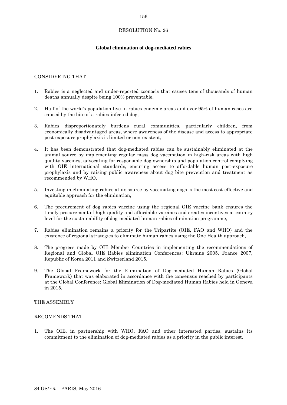#### <span id="page-41-0"></span> $-156-$

# RESOLUTION No. 26

# **Global elimination of dog-mediated rabies**

### CONSIDERING THAT

- 1. Rabies is a neglected and under-reported zoonosis that causes tens of thousands of human deaths annually despite being 100% preventable,
- 2. Half of the world's population live in rabies endemic areas and over 95% of human cases are caused by the bite of a rabies-infected dog,
- 3. Rabies disproportionately burdens rural communities, particularly children, from economically disadvantaged areas, where awareness of the disease and access to appropriate post-exposure prophylaxis is limited or non-existent,
- 4. It has been demonstrated that dog-mediated rabies can be sustainably eliminated at the animal source by implementing regular mass dog vaccination in high-risk areas with high quality vaccines, advocating for responsible dog ownership and population control complying with OIE international standards, ensuring access to affordable human post-exposure prophylaxis and by raising public awareness about dog bite prevention and treatment as recommended by WHO,
- 5. Investing in eliminating rabies at its source by vaccinating dogs is the most cost-effective and equitable approach for the elimination,
- 6. The procurement of dog rabies vaccine using the regional OIE vaccine bank ensures the timely procurement of high-quality and affordable vaccines and creates incentives at country level for the sustainability of dog-mediated human rabies elimination programme,
- 7. Rabies elimination remains a priority for the Tripartite (OIE, FAO and WHO) and the existence of regional strategies to eliminate human rabies using the One Health approach,
- 8. The progress made by OIE Member Countries in implementing the recommendations of Regional and Global OIE Rabies elimination Conferences: Ukraine 2005, France 2007, Republic of Korea 2011 and Switzerland 2015,
- 9. The Global Framework for the Elimination of Dog-mediated Human Rabies (Global Framework) that was elaborated in accordance with the consensus reached by participants at the Global Conference: Global Elimination of Dog-mediated Human Rabies held in Geneva in 2015,

#### THE ASSEMBLY

#### RECOMENDS THAT

1. The OIE, in partnership with WHO, FAO and other interested parties, sustains its commitment to the elimination of dog-mediated rabies as a priority in the public interest.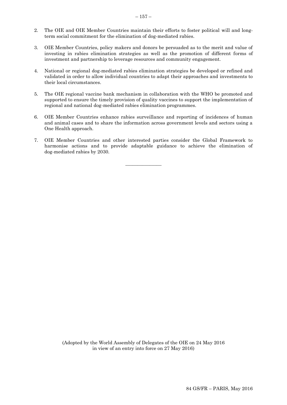- 2. The OIE and OIE Member Countries maintain their efforts to foster political will and longterm social commitment for the elimination of dog-mediated rabies.
- 3. OIE Member Countries, policy makers and donors be persuaded as to the merit and value of investing in rabies elimination strategies as well as the promotion of different forms of investment and partnership to leverage resources and community engagement.
- 4. National or regional dog-mediated rabies elimination strategies be developed or refined and validated in order to allow individual countries to adapt their approaches and investments to their local circumstances.
- 5. The OIE regional vaccine bank mechanism in collaboration with the WHO be promoted and supported to ensure the timely provision of quality vaccines to support the implementation of regional and national dog-mediated rabies elimination programmes.
- 6. OIE Member Countries enhance rabies surveillance and reporting of incidences of human and animal cases and to share the information across government levels and sectors using a One Health approach.
- 7. OIE Member Countries and other interested parties consider the Global Framework to harmonise actions and to provide adaptable guidance to achieve the elimination of dog-mediated rabies by 2030.

 $\overline{\phantom{a}}$  , where  $\overline{\phantom{a}}$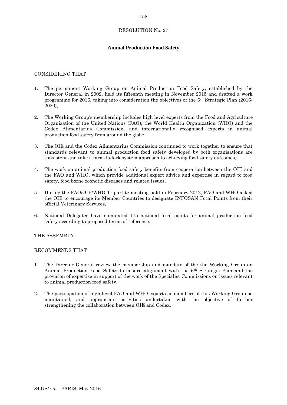#### <span id="page-43-0"></span> $-158-$

# RESOLUTION No. 27

# **Animal Production Food Safety**

# CONSIDERING THAT

- 1. The permanent Working Group on Animal Production Food Safety, established by the Director General in 2002, held its fifteenth meeting in November 2015 and drafted a work programme for 2016, taking into consideration the objectives of the  $6<sup>th</sup>$  Strategic Plan (2016-2020),
- 2. The Working Group's membership includes high level experts from the Food and Agriculture Organization of the United Nations (FAO), the World Health Organization (WHO) and the Codex Alimentarius Commission, and internationally recognised experts in animal production food safety from around the globe,
- 3. The OIE and the Codex Alimentarius Commission continued to work together to ensure that standards relevant to animal production food safety developed by both organisations are consistent and take a farm-to-fork system approach to achieving food safety outcomes,
- 4. The work on animal production food safety benefits from cooperation between the OIE and the FAO and WHO, which provide additional expert advice and expertise in regard to food safety, food borne zoonotic diseases and related issues,
- 5 During the FAO/OIE/WHO Tripartite meeting held in February 2012, FAO and WHO asked the OIE to encourage its Member Countries to designate INFOSAN Focal Points from their official Veterinary Services,
- 6. National Delegates have nominated 175 national focal points for animal production food safety according to proposed terms of reference.

# THE ASSEMBLY

#### RECOMMENDS THAT

- 1. The Director General review the membership and mandate of the the Working Group on Animal Production Food Safety to ensure alignment with the 6th Strategic Plan and the provision of expertise in support of the work of the Specialist Commissions on issues relevant to animal production food safety.
- 2. The participation of high level FAO and WHO experts as members of this Working Group be maintained, and appropriate activities undertaken with the objective of further strengthening the collaboration between OIE and Codex.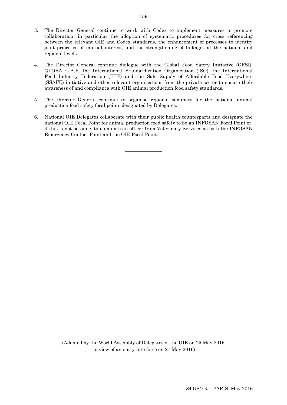- 3. The Director General continue to work with Codex to implement measures to promote collaboration, in particular the adoption of systematic procedures for cross referencing between the relevant OIE and Codex standards, the enhancement of processes to identify joint priorities of mutual interest, and the strengthening of linkages at the national and regional levels.
- 4. The Director General continue dialogue with the Global Food Safety Initiative (GFSI), GLOBALG.A.P, the International Standardization Organization (ISO), the International Feed Industry Federation (IFIF) and the Safe Supply of Affordable Food Everywhere (SSAFE) initiative and other relevant organisations from the private sector to ensure their awareness of and compliance with OIE animal production food safety standards.
- 5. The Director General continue to organise regional seminars for the national animal production food safety focal points designated by Delegates.
- 6. National OIE Delegates collaborate with their public health counterparts and designate the national OIE Focal Point for animal production food safety to be an INFOSAN Focal Point or, if this is not possible, to nominate an officer from Veterinary Services as both the INFOSAN Emergency Contact Point and the OIE Focal Point.

\_\_\_\_\_\_\_\_\_\_\_\_\_\_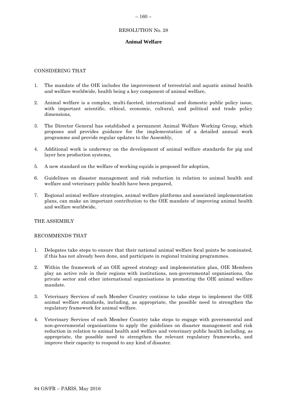# RESOLUTION No. 28

# <span id="page-45-0"></span>**Animal Welfare**

### CONSIDERING THAT

- 1. The mandate of the OIE includes the improvement of terrestrial and aquatic animal health and welfare worldwide, health being a key component of animal welfare,
- 2. Animal welfare is a complex, multi-faceted, international and domestic public policy issue, with important scientific, ethical, economic, cultural, and political and trade policy dimensions,
- 3. The Director General has established a permanent Animal Welfare Working Group, which proposes and provides guidance for the implementation of a detailed annual work programme and provide regular updates to the Assembly,
- 4. Additional work is underway on the development of animal welfare standards for pig and layer hen production systems,
- 5. A new standard on the welfare of working equids is proposed for adoption,
- 6. Guidelines on disaster management and risk reduction in relation to animal health and welfare and veterinary public health have been prepared,
- 7. Regional animal welfare strategies, animal welfare platforms and associated implementation plans, can make an important contribution to the OIE mandate of improving animal health and welfare worldwide,

#### THE ASSEMBLY

#### RECOMMENDS THAT

- 1. Delegates take steps to ensure that their national animal welfare focal points be nominated, if this has not already been done, and participate in regional training programmes.
- 2. Within the framework of an OIE agreed strategy and implementation plan, OIE Members play an active role in their regions with institutions, non-governmental organisations, the private sector and other international organisations in promoting the OIE animal welfare mandate.
- 3. Veterinary Services of each Member Country continue to take steps to implement the OIE animal welfare standards, including, as appropriate, the possible need to strengthen the regulatory framework for animal welfare.
- 4. Veterinary Services of each Member Country take steps to engage with governmental and non-governmental organisations to apply the guidelines on disaster management and risk reduction in relation to animal health and welfare and veterinary public health including, as appropriate, the possible need to strengthen the relevant regulatory frameworks, and improve their capacity to respond to any kind of disaster.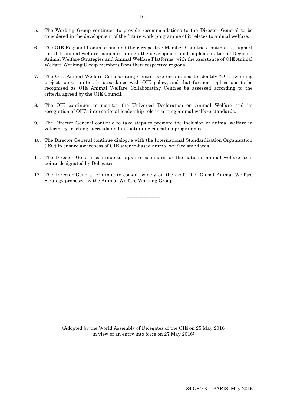- 5. The Working Group continues to provide recommendations to the Director General to be considered in the development of the future work programme of it relates to animal welfare.
- 6. The OIE Regional Commissions and their respective Member Countries continue to support the OIE animal welfare mandate through the development and implementation of Regional Animal Welfare Strategies and Animal Welfare Platforms, with the assistance of OIE Animal Welfare Working Group members from their respective regions.
- 7. The OIE Animal Welfare Collaborating Centres are encouraged to identify "OIE twinning project" opportunities in accordance with OIE policy, and that further applications to be recognised as OIE Animal Welfare Collaborating Centres be assessed according to the criteria agreed by the OIE Council.
- 8. The OIE continues to monitor the Universal Declaration on Animal Welfare and its recognition of OIE's international leadership role in setting animal welfare standards.
- 9. The Director General continue to take steps to promote the inclusion of animal welfare in veterinary teaching curricula and in continuing education programmes.
- 10. The Director General continue dialogue with the International Standardisation Organisation (ISO) to ensure awareness of OIE science-based animal welfare standards.
- 11. The Director General continue to organise seminars for the national animal welfare focal points designated by Delegates.
- 12. The Director General continue to consult widely on the draft OIE Global Animal Welfare Strategy proposed by the Animal Welfare Working Group.

\_\_\_\_\_\_\_\_\_\_\_\_\_\_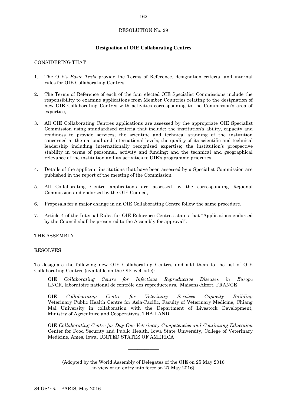#### <span id="page-47-0"></span> $-162-$

#### RESOLUTION No. 29

# **Designation of OIE Collaborating Centres**

#### CONSIDERING THAT

- 1. The OIE's *Basic Texts* provide the Terms of Reference, designation criteria, and internal rules for OIE Collaborating Centres,
- 2. The Terms of Reference of each of the four elected OIE Specialist Commissions include the responsibility to examine applications from Member Countries relating to the designation of new OIE Collaborating Centres with activities corresponding to the Commission's area of expertise,
- 3. All OIE Collaborating Centres applications are assessed by the appropriate OIE Specialist Commission using standardised criteria that include: the institution's ability, capacity and readiness to provide services; the scientific and technical standing of the institution concerned at the national and international levels; the quality of its scientific and technical leadership including internationally recognised expertise; the institution's prospective stability in terms of personnel, activity and funding; and the technical and geographical relevance of the institution and its activities to OIE's programme priorities,
- 4. Details of the applicant institutions that have been assessed by a Specialist Commission are published in the report of the meeting of the Commission,
- 5. All Collaborating Centre applications are assessed by the corresponding Regional Commission and endorsed by the OIE Council,
- 6. Proposals for a major change in an OIE Collaborating Centre follow the same procedure,
- 7. Article 4 of the Internal Rules for OIE Reference Centres states that "Applications endorsed by the Council shall be presented to the Assembly for approval".

#### THE ASSEMBLY

#### RESOLVES

To designate the following new OIE Collaborating Centres and add them to the list of OIE Collaborating Centres (available on the OIE web site):

OIE *Collaborating Centre for Infectious Reproductive Diseases in Europe* LNCR, laboratoire national de contrôle des reproducteurs, Maisons-Alfort, FRANCE

OIE *Collaborating Centre for Veterinary Services Capacity Building* Veterinary Public Health Centre for Asia-Pacific, Faculty of Veterinary Medicine, Chiang Mai University in collaboration with the Department of Livestock Development, Ministry of Agriculture and Cooperatives, THAILAND

OIE *Collaborating Centre for Day-One Veterinary Competencies and Continuing Education* Center for Food Security and Public Health, Iowa State University, College of Veterinary Medicine, Ames, Iowa, UNITED STATES OF AMERICA

(Adopted by the World Assembly of Delegates of the OIE on 25 May 2016 in view of an entry into force on 27 May 2016)

 $\overline{\phantom{a}}$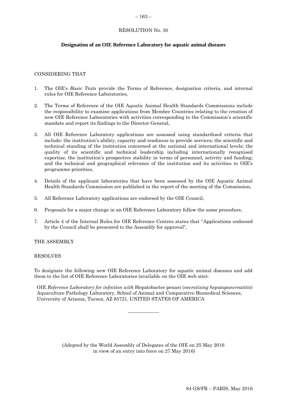#### <span id="page-48-0"></span>– 163 –

#### RESOLUTION No. 30

# **Designation of an OIE Reference Laboratory for aquatic animal diseases**

#### CONSIDERING THAT

- 1. The OIE's *Basic Texts* provide the Terms of Reference, designation criteria, and internal rules for OIE Reference Laboratories,
- 2. The Terms of Reference of the OIE Aquatic Animal Health Standards Commissions include the responsibility to examine applications from Member Countries relating to the creation of new OIE Reference Laboratories with activities corresponding to the Commission's scientific mandate and report its findings to the Director General,
- 3. All OIE Reference Laboratory applications are assessed using standardised criteria that include: the institution's ability, capacity and readiness to provide services; the scientific and technical standing of the institution concerned at the national and international levels; the quality of its scientific and technical leadership including internationally recognised expertise; the institution's prospective stability in terms of personnel, activity and funding; and the technical and geographical relevance of the institution and its activities to OIE's programme priorities,
- 4. Details of the applicant laboratories that have been assessed by the OIE Aquatic Animal Health Standards Commission are published in the report of the meeting of the Commission,
- 5. All Reference Laboratory applications are endorsed by the OIE Council,
- 6. Proposals for a major change in an OIE Reference Laboratory follow the same procedure,
- 7. Article 4 of the Internal Rules for OIE Reference Centres states that "Applications endorsed by the Council shall be presented to the Assembly for approval",

#### THE ASSEMBLY

#### RESOLVES

To designate the following new OIE Reference Laboratory for aquatic animal diseases and add them to the list of OIE Reference Laboratories (available on the OIE web site):

OIE *Reference Laboratory for infection with* Hepatobacter penaei (*necrotising hepatopancreatitis*) Aquaculture Pathology Laboratory, School of Animal and Comparative Biomedical Sciences, University of Arizona, Tucson, AZ 85721, UNITED STATES OF AMERICA

 $\overline{\phantom{a}}$  ,  $\overline{\phantom{a}}$  ,  $\overline{\phantom{a}}$  ,  $\overline{\phantom{a}}$  ,  $\overline{\phantom{a}}$  ,  $\overline{\phantom{a}}$  ,  $\overline{\phantom{a}}$  ,  $\overline{\phantom{a}}$  ,  $\overline{\phantom{a}}$  ,  $\overline{\phantom{a}}$  ,  $\overline{\phantom{a}}$  ,  $\overline{\phantom{a}}$  ,  $\overline{\phantom{a}}$  ,  $\overline{\phantom{a}}$  ,  $\overline{\phantom{a}}$  ,  $\overline{\phantom{a}}$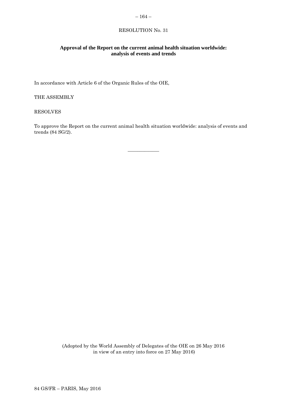# RESOLUTION No. 31

<span id="page-49-0"></span> $-164-$ 

# **Approval of the Report on the current animal health situation worldwide: analysis of events and trends**

In accordance with Article 6 of the Organic Rules of the OIE,

THE ASSEMBLY

RESOLVES

To approve the Report on the current animal health situation worldwide: analysis of events and trends (84 SG/2).

 $\overline{\phantom{a}}$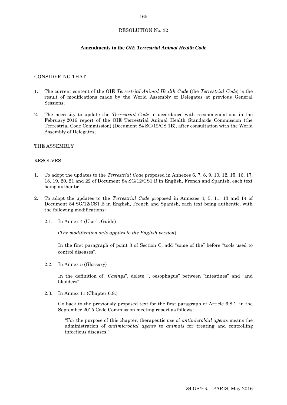#### <span id="page-50-0"></span> $-165-$

# RESOLUTION No. 32

# **Amendments to the** *OIE Terrestrial Animal Health Code*

#### CONSIDERING THAT

- 1. The current content of the OIE *Terrestrial Animal Health Code* (the *Terrestrial Code*) is the result of modifications made by the World Assembly of Delegates at previous General Sessions;
- 2. The necessity to update the *Terrestrial Code* in accordance with recommendations in the February 2016 report of the OIE Terrestrial Animal Health Standards Commission (the Terrestrial Code Commission) (Document 84 SG/12/CS 1B), after consultation with the World Assembly of Delegates;

### THE ASSEMBLY

#### RESOLVES

- 1. To adopt the updates to the *Terrestrial Code* proposed in Annexes 6, 7, 8, 9, 10, 12, 15, 16, 17, 18, 19, 20, 21 and 22 of Document 84 SG/12/CS1 B in English, French and Spanish, each text being authentic.
- 2. To adopt the updates to the *Terrestrial Code* proposed in Annexes 4, 5, 11, 13 and 14 of Document 84 SG/12/CS1 B in English, French and Spanish, each text being authentic, with the following modifications:
	- 2.1. In Annex 4 (User's Guide)

(*The modification only applies to the English version*)

In the first paragraph of point 3 of Section C, add "some of the" before "tools used to control diseases".

2.2. In Annex 5 (Glossary)

In the definition of "*Casings*", delete ", oesophagus" between "intestines" and "and bladders".

2.3. In Annex 11 (Chapter 6.8.)

Go back to the previously proposed text for the first paragraph of Article 6.8.1. in the September 2015 Code Commission meeting report as follows:

"For the purpose of this chapter, therapeutic use of *antimicrobial agents* means the administration of *antimicrobial agents* to *animals* for treating and controlling infectious diseases."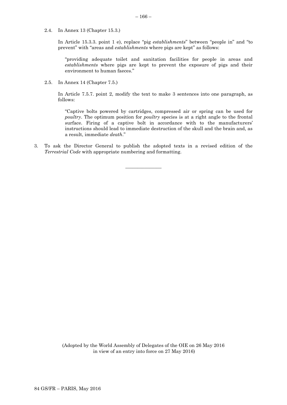2.4. In Annex 13 (Chapter 15.3.)

In Article 15.3.3. point 1 e), replace "pig *establishments*" between "people in" and "to prevent" with "areas and *establishments* where pigs are kept" as follows:

"providing adequate toilet and sanitation facilities for people in areas and *establishments* where pigs are kept to prevent the exposure of pigs and their environment to human faeces."

2.5. In Annex 14 (Chapter 7.5.)

In Article 7.5.7. point 2, modify the text to make 3 sentences into one paragraph, as follows:

"Captive bolts powered by cartridges, compressed air or spring can be used for *poultry*. The optimum position for *poultry* species is at a right angle to the frontal surface. Firing of a captive bolt in accordance with to the manufacturers' instructions should lead to immediate destruction of the skull and the brain and, as a result, immediate *death*."

3. To ask the Director General to publish the adopted texts in a revised edition of the *Terrestrial Code* with appropriate numbering and formatting.

 $\overline{\phantom{a}}$  , where  $\overline{\phantom{a}}$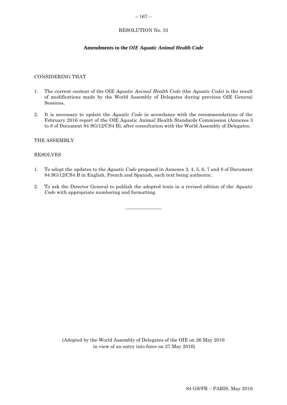#### <span id="page-52-0"></span> $-167-$

# RESOLUTION No. 33

# **Amendments to the** *OIE Aquatic Animal Health Code*

#### CONSIDERING THAT

- 1. The current content of the OIE *Aquatic Animal Health Code* (the *Aquatic Code*) is the result of modifications made by the World Assembly of Delegates during previous OIE General Sessions,
- 2. It is necessary to update the *Aquatic Code* in accordance with the recommendations of the February 2016 report of the OIE Aquatic Animal Health Standards Commission (Annexes 3 to 8 of Document 84 SG/12/CS4 B), after consultation with the World Assembly of Delegates,

#### THE ASSEMBLY

#### RESOLVES

- 1. To adopt the updates to the *Aquatic Code* proposed in Annexes 3, 4, 5, 6, 7 and 8 of Document 84 SG/12/CS4 B in English, French and Spanish, each text being authentic.
- 2. To ask the Director General to publish the adopted texts in a revised edition of the *Aquatic Code* with appropriate numbering and formatting.

 $\overline{\phantom{a}}$  , where  $\overline{\phantom{a}}$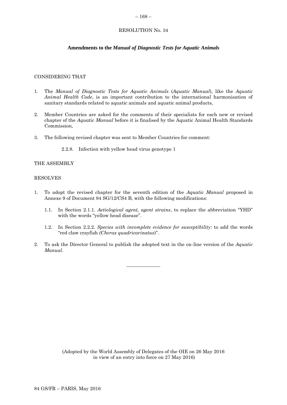#### <span id="page-53-0"></span> $-168-$

# RESOLUTION No. 34

# **Amendments to the** *Manual of Diagnostic Tests for Aquatic Animals*

### CONSIDERING THAT

- 1. The *Manual of Diagnostic Tests for Aquatic Animals* (*Aquatic Manual*), like the *Aquatic Animal Health Code*, is an important contribution to the international harmonisation of sanitary standards related to aquatic animals and aquatic animal products,
- 2. Member Countries are asked for the comments of their specialists for each new or revised chapter of the *Aquatic Manual* before it is finalised by the Aquatic Animal Health Standards Commission,
- 3. The following revised chapter was sent to Member Countries for comment:

2.2.8. Infection with yellow head virus genotype 1

#### THE ASSEMBLY

# RESOLVES

- 1. To adopt the revised chapter for the seventh edition of the *Aquatic Manual* proposed in Annexe 9 of Document 84 SG/12/CS4 B, with the following modifications:
	- 1.1. In Section 2.1.1. *Aetiological agent, agent strains*, to replace the abbreviation "YHD" with the words "yellow head disease".
	- 1.2. In Section 2.2.2. *Species with incomplete evidence for susceptibility*: to add the words "red claw crayfish *(Cherax quadricarinatus*)".
- 2. To ask the Director General to publish the adopted text in the on-line version of the *Aquatic Manual*.

 $\overline{\phantom{a}}$  , where  $\overline{\phantom{a}}$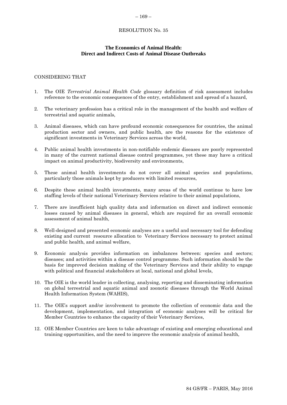#### $-169-$

# RESOLUTION No. 35

# **The Economics of Animal Health: Direct and Indirect Costs of Animal Disease Outbreaks**

### <span id="page-54-0"></span>CONSIDERING THAT

- 1. The OIE *Terrestrial Animal Health Code* glossary definition of risk assessment includes reference to the economic consequences of the entry, establishment and spread of a hazard,
- 2. The veterinary profession has a critical role in the management of the health and welfare of terrestrial and aquatic animals,
- 3. Animal diseases, which can have profound economic consequences for countries, the animal production sector and owners, and public health, are the reasons for the existence of significant investments in Veterinary Services across the world,
- 4. Public animal health investments in non-notifiable endemic diseases are poorly represented in many of the current national disease control programmes, yet these may have a critical impact on animal productivity, biodiversity and environments,
- 5. These animal health investments do not cover all animal species and populations, particularly those animals kept by producers with limited resources,
- 6. Despite these animal health investments, many areas of the world continue to have low staffing levels of their national Veterinary Services relative to their animal populations,
- 7. There are insufficient high quality data and information on direct and indirect economic losses caused by animal diseases in general, which are required for an overall economic assessment of animal health,
- 8. Well-designed and presented economic analyses are a useful and necessary tool for defending existing and current resource allocation to Veterinary Services necessary to protect animal and public health, and animal welfare,
- 9. Economic analysis provides information on imbalances between: species and sectors; diseases; and activities within a disease control programme. Such information should be the basis for improved decision making of the Veterinary Services and their ability to engage with political and financial stakeholders at local, national and global levels,
- 10. The OIE is the world leader in collecting, analysing, reporting and disseminating information on global terrestrial and aquatic animal and zoonotic diseases through the World Animal Health Information System (WAHIS),
- 11. The OIE's support and/or involvement to promote the collection of economic data and the development, implementation, and integration of economic analyses will be critical for Member Countries to enhance the capacity of their Veterinary Services,
- 12. OIE Member Countries are keen to take advantage of existing and emerging educational and training opportunities, and the need to improve the economic analysis of animal health,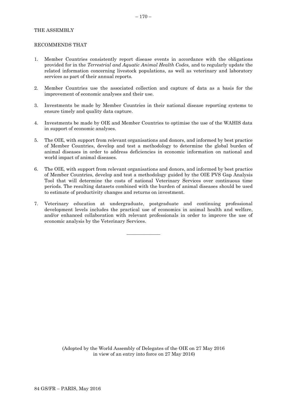# THE ASSEMBLY

#### RECOMMENDS THAT

- 1. Member Countries consistently report disease events in accordance with the obligations provided for in the *Terrestrial and Aquatic Animal Health Codes,* and to regularly update the related information concerning livestock populations, as well as veterinary and laboratory services as part of their annual reports.
- 2. Member Countries use the associated collection and capture of data as a basis for the improvement of economic analyses and their use.
- 3. Investments be made by Member Countries in their national disease reporting systems to ensure timely and quality data capture.
- 4. Investments be made by OIE and Member Countries to optimise the use of the WAHIS data in support of economic analyses.
- 5. The OIE, with support from relevant organisations and donors, and informed by best practice of Member Countries, develop and test a methodology to determine the global burden of animal diseases in order to address deficiencies in economic information on national and world impact of animal diseases.
- 6. The OIE, with support from relevant organisations and donors, and informed by best practice of Member Countries, develop and test a methodology guided by the OIE PVS Gap Analysis Tool that will determine the costs of national Veterinary Services over continuous time periods. The resulting datasets combined with the burden of animal diseases should be used to estimate of productivity changes and returns on investment.
- 7. Veterinary education at undergraduate, postgraduate and continuing professional development levels includes the practical use of economics in animal health and welfare, and/or enhanced collaboration with relevant professionals in order to improve the use of economic analysis by the Veterinary Services.

 $\overline{\phantom{a}}$  , where  $\overline{\phantom{a}}$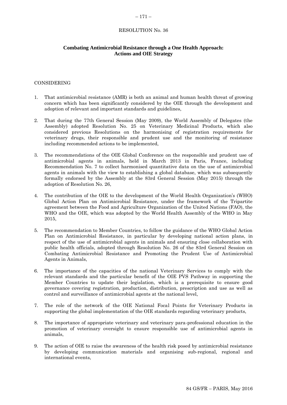# RESOLUTION No. 36

# <span id="page-56-0"></span>**Combating Antimicrobial Resistance through a One Health Approach: Actions and OIE Strategy**

## CONSIDERING

- 1. That antimicrobial resistance (AMR) is both an animal and human health threat of growing concern which has been significantly considered by the OIE through the development and adoption of relevant and important standards and guidelines,
- 2. That during the 77th General Session (May 2009), the World Assembly of Delegates (the Assembly) adopted Resolution No. 25 on Veterinary Medicinal Products, which also considered previous Resolutions on the harmonising of registration requirements for veterinary drugs, their responsible and prudent use and the monitoring of resistance including recommended actions to be implemented,
- 3. The recommendations of the OIE Global Conference on the responsible and prudent use of antimicrobial agents in animals, held in March 2013 in Paris, France, including Recommendation No. 7 to collect harmonised quantitative data on the use of antimicrobial agents in animals with the view to establishing a global database, which was subsequently formally endorsed by the Assembly at the 83rd General Session (May 2015) through the adoption of Resolution No. 26,
- 4. The contribution of the OIE to the development of the World Health Organization's (WHO) Global Action Plan on Antimicrobial Resistance, under the framework of the Tripartite agreement between the Food and Agriculture Organization of the United Nations (FAO), the WHO and the OIE, which was adopted by the World Health Assembly of the WHO in May 2015,
- 5. The recommendation to Member Countries, to follow the guidance of the WHO Global Action Plan on Antimicrobial Resistance, in particular by developing national action plans, in respect of the use of antimicrobial agents in animals and ensuring close collaboration with public health officials, adopted through Resolution No. 26 of the 83rd General Session on Combating Antimicrobial Resistance and Promoting the Prudent Use of Antimicrobial Agents in Animals,
- 6. The importance of the capacities of the national Veterinary Services to comply with the relevant standards and the particular benefit of the OIE PVS Pathway in supporting the Member Countries to update their legislation, which is a prerequisite to ensure good governance covering registration, production, distribution, prescription and use as well as control and surveillance of antimicrobial agents at the national level,
- 7. The role of the network of the OIE National Focal Points for Veterinary Products in supporting the global implementation of the OIE standards regarding veterinary products,
- 8. The importance of appropriate veterinary and veterinary para-professional education in the promotion of veterinary oversight to ensure responsible use of antimicrobial agents in animals,
- 9. The action of OIE to raise the awareness of the health risk posed by antimicrobial resistance by developing communication materials and organising sub-regional, regional and international events,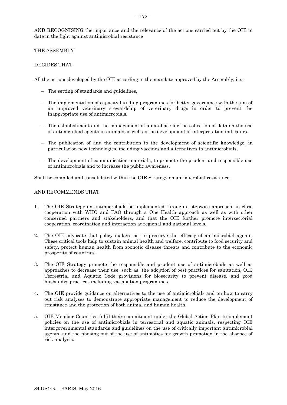AND RECOGNISING the importance and the relevance of the actions carried out by the OIE to date in the fight against antimicrobial resistance

THE ASSEMBLY

# DECIDES THAT

All the actions developed by the OIE according to the mandate approved by the Assembly, i.e.:

- The setting of standards and guidelines,
- The implementation of capacity building programmes for better governance with the aim of an improved veterinary stewardship of veterinary drugs in order to prevent the inappropriate use of antimicrobials,
- The establishment and the management of a database for the collection of data on the use of antimicrobial agents in animals as well as the development of interpretation indicators,
- The publication of and the contribution to the development of scientific knowledge, in particular on new technologies, including vaccines and alternatives to antimicrobials,
- The development of communication materials, to promote the prudent and responsible use of antimicrobials and to increase the public awareness,

Shall be compiled and consolidated within the OIE Strategy on antimicrobial resistance.

#### AND RECOMMENDS THAT

- 1. The OIE Strategy on antimicrobials be implemented through a stepwise approach, in close cooperation with WHO and FAO through a One Health approach as well as with other concerned partners and stakeholders, and that the OIE further promote intersectorial cooperation, coordination and interaction at regional and national levels.
- 2. The OIE advocate that policy makers act to preserve the efficacy of antimicrobial agents. These critical tools help to sustain animal health and welfare, contribute to food security and safety, protect human health from zoonotic disease threats and contribute to the economic prosperity of countries.
- 3. The OIE Strategy promote the responsible and prudent use of antimicrobials as well as approaches to decrease their use, such as the adoption of best practices for sanitation, OIE Terrestrial and Aquatic Code provisions for biosecurity to prevent disease, and good husbandry practices including vaccination programmes.
- 4. The OIE provide guidance on alternatives to the use of antimicrobials and on how to carry out risk analyses to demonstrate appropriate management to reduce the development of resistance and the protection of both animal and human health.
- 5. OIE Member Countries fulfil their commitment under the Global Action Plan to implement policies on the use of antimicrobials in terrestrial and aquatic animals, respecting OIE intergovernmental standards and guidelines on the use of critically important antimicrobial agents, and the phasing out of the use of antibiotics for growth promotion in the absence of risk analysis.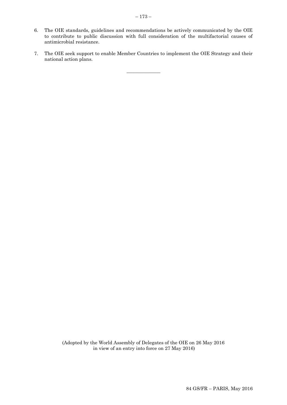- 6. The OIE standards, guidelines and recommendations be actively communicated by the OIE to contribute to public discussion with full consideration of the multifactorial causes of antimicrobial resistance.
- 7. The OIE seek support to enable Member Countries to implement the OIE Strategy and their national action plans.

 $\overline{\phantom{a}}$  , where  $\overline{\phantom{a}}$